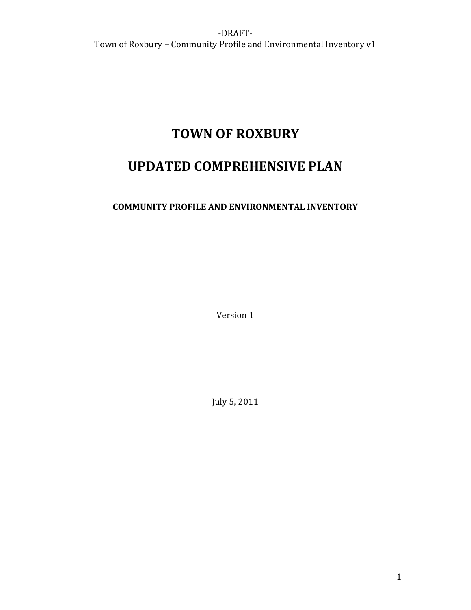# **TOWN OF ROXBURY**

# **UPDATED COMPREHENSIVE PLAN**

# **COMMUNITY PROFILE AND ENVIRONMENTAL INVENTORY**

Version 1

July 5, 2011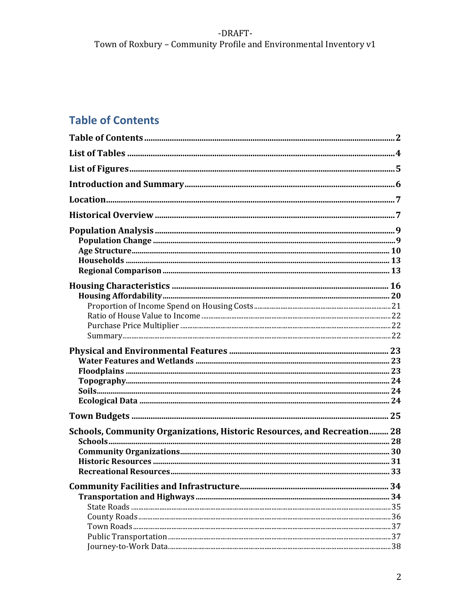# -DRAFT-Town of Roxbury - Community Profile and Environmental Inventory v1

# **Table of Contents**

| Schools, Community Organizations, Historic Resources, and Recreation 28 |  |
|-------------------------------------------------------------------------|--|
|                                                                         |  |
|                                                                         |  |
|                                                                         |  |
|                                                                         |  |
|                                                                         |  |
|                                                                         |  |
|                                                                         |  |
|                                                                         |  |
|                                                                         |  |
|                                                                         |  |
|                                                                         |  |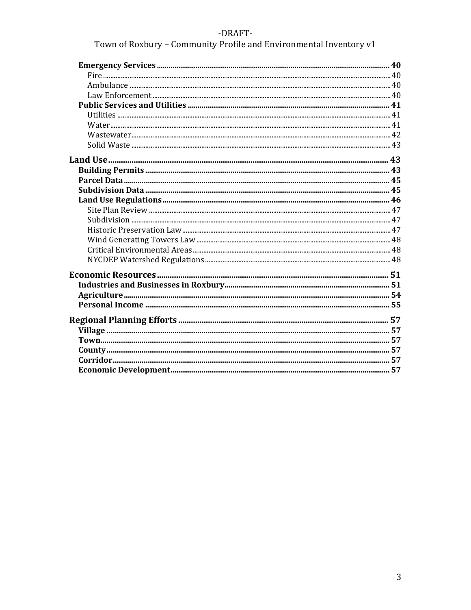# -DRAFT-

Town of Roxbury - Community Profile and Environmental Inventory v1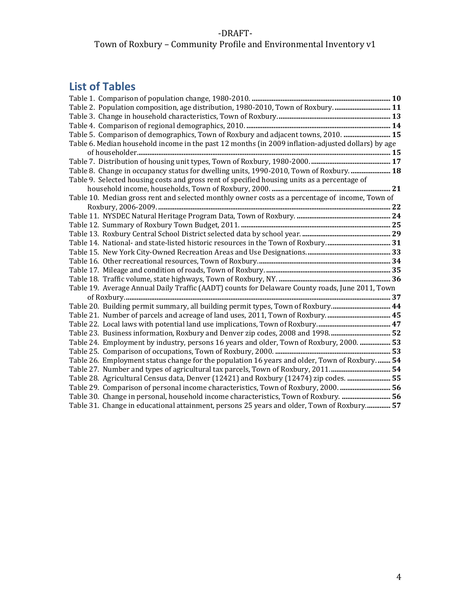# Town of Roxbury – Community Profile and Environmental Inventory v1

# **List of Tables**

| <b>List of Tables</b>                                                                              |  |
|----------------------------------------------------------------------------------------------------|--|
|                                                                                                    |  |
| Table 2. Population composition, age distribution, 1980-2010, Town of Roxbury 11                   |  |
|                                                                                                    |  |
|                                                                                                    |  |
| Table 5. Comparison of demographics, Town of Roxbury and adjacent towns, 2010.  15                 |  |
| Table 6. Median household income in the past 12 months (in 2009 inflation-adjusted dollars) by age |  |
|                                                                                                    |  |
|                                                                                                    |  |
| Table 8. Change in occupancy status for dwelling units, 1990-2010, Town of Roxbury.  18            |  |
| Table 9. Selected housing costs and gross rent of specified housing units as a percentage of       |  |
|                                                                                                    |  |
| Table 10. Median gross rent and selected monthly owner costs as a percentage of income, Town of    |  |
|                                                                                                    |  |
|                                                                                                    |  |
|                                                                                                    |  |
|                                                                                                    |  |
|                                                                                                    |  |
|                                                                                                    |  |
|                                                                                                    |  |
|                                                                                                    |  |
|                                                                                                    |  |
| Table 19. Average Annual Daily Traffic (AADT) counts for Delaware County roads, June 2011, Town    |  |
|                                                                                                    |  |
| Table 20. Building permit summary, all building permit types, Town of Roxbury 44                   |  |
| Table 21. Number of parcels and acreage of land uses, 2011, Town of Roxbury 45                     |  |
|                                                                                                    |  |
| Table 23. Business information, Roxbury and Denver zip codes, 2008 and 1998 52                     |  |
| Table 24. Employment by industry, persons 16 years and older, Town of Roxbury, 2000.  53           |  |
|                                                                                                    |  |
| Table 26. Employment status change for the population 16 years and older, Town of Roxbury 54       |  |
| Table 27. Number and types of agricultural tax parcels, Town of Roxbury, 2011 54                   |  |
| Table 28. Agricultural Census data, Denver (12421) and Roxbury (12474) zip codes.  55              |  |
| Table 29. Comparison of personal income characteristics, Town of Roxbury, 2000.  56                |  |
| Table 30. Change in personal, household income characteristics, Town of Roxbury.  56               |  |
| Table 31. Change in educational attainment, persons 25 years and older, Town of Roxbury 57         |  |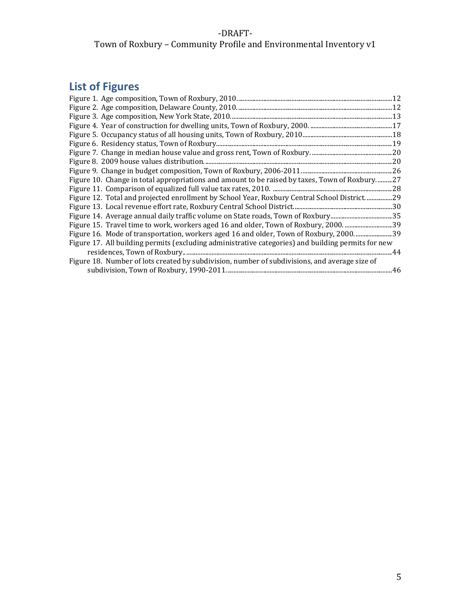# ‐DRAFT‐ Town of Roxbury – Community Profile and Environmental Inventory v1

# **List of Figures**

| Figure 10. Change in total appropriations and amount to be raised by taxes, Town of Roxbury27      |  |
|----------------------------------------------------------------------------------------------------|--|
|                                                                                                    |  |
| Figure 12. Total and projected enrollment by School Year, Roxbury Central School District29        |  |
|                                                                                                    |  |
| Figure 14. Average annual daily traffic volume on State roads, Town of Roxbury35                   |  |
|                                                                                                    |  |
| Figure 16. Mode of transportation, workers aged 16 and older, Town of Roxbury, 200039              |  |
| Figure 17. All building permits (excluding administrative categories) and building permits for new |  |
|                                                                                                    |  |
| Figure 18. Number of lots created by subdivision, number of subdivisions, and average size of      |  |
|                                                                                                    |  |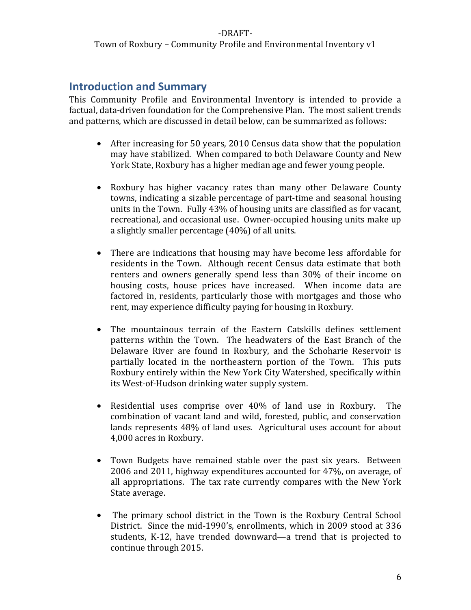### ‐DRAFT‐ Town of Roxbury – Community Profile and Environmental Inventory v1

# **Introduction and Summary**

This Community Profile and Environmental Inventory is intended to provide a factual, data-driven foundation for the Comprehensive Plan. The most salient trends and patterns, which are discussed in detail below, can be summarized as follows:

- After increasing for 50 years, 2010 Census data show that the population may have stabilized. When compared to both Delaware County and New York State, Roxbury has a higher median age and fewer young people.
- Roxbury has higher vacancy rates than many other Delaware County towns, indicating a sizable percentage of part‐time and seasonal housing units in the Town. Fully 43% of housing units are classified as for vacant, recreational, and occasional use. Owner‐occupied housing units make up a slightly smaller percentage (40%) of all units.
- There are indications that housing may have become less affordable for residents in the Town. Although recent Census data estimate that both renters and owners generally spend less than 30% of their income on housing costs, house prices have increased. When income data are factored in, residents, particularly those with mortgages and those who rent, may experience difficulty paying for housing in Roxbury.
- The mountainous terrain of the Eastern Catskills defines settlement patterns within the Town. The headwaters of the East Branch of the Delaware River are found in Roxbury, and the Schoharie Reservoir is partially located in the northeastern portion of the Town. This puts Roxbury entirely within the New York City Watershed, specifically within its West‐of‐Hudson drinking water supply system.
- Residential uses comprise over 40% of land use in Roxbury. The combination of vacant land and wild, forested, public, and conservation lands represents 48% of land uses. Agricultural uses account for about 4,000 acres in Roxbury.
- Town Budgets have remained stable over the past six years. Between 2006 and 2011, highway expenditures accounted for 47%, on average, of all appropriations. The tax rate currently compares with the New York State average.
- The primary school district in the Town is the Roxbury Central School District. Since the mid‐1990's, enrollments, which in 2009 stood at 336 students, K‐12, have trended downward—a trend that is projected to continue through 2015.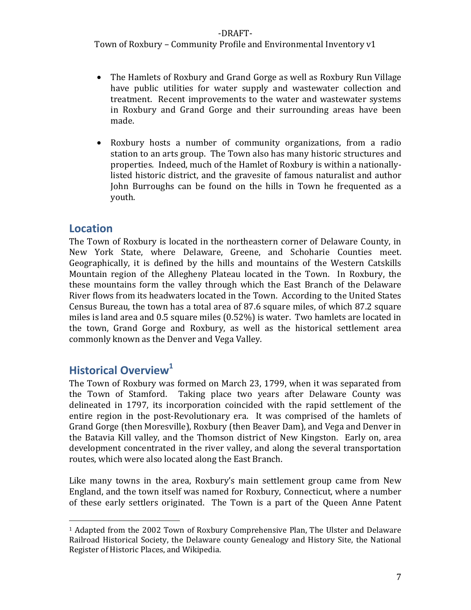Town of Roxbury – Community Profile and Environmental Inventory v1

- The Hamlets of Roxbury and Grand Gorge as well as Roxbury Run Village have public utilities for water supply and wastewater collection and treatment. Recent improvements to the water and wastewater systems in Roxbury and Grand Gorge and their surrounding areas have been made.
- Roxbury hosts a number of community organizations, from a radio station to an arts group. The Town also has many historic structures and properties. Indeed, much of the Hamlet of Roxbury is within a nationally‐ listed historic district, and the gravesite of famous naturalist and author John Burroughs can be found on the hills in Town he frequented as a youth.

# **Location**

The Town of Roxbury is located in the northeastern corner of Delaware County, in New York State, where Delaware, Greene, and Schoharie Counties meet. Geographically, it is defined by the hills and mountains of the Western Catskills Mountain region of the Allegheny Plateau located in the Town. In Roxbury, the these mountains form the valley through which the East Branch of the Delaware River flows from its headwaters located in the Town. According to the United States Census Bureau, the town has a total area of 87.6 square miles, of which 87.2 square miles is land area and 0.5 square miles (0.52%) is water. Two hamlets are located in the town, Grand Gorge and Roxbury, as well as the historical settlement area commonly known as the Denver and Vega Valley.

# **Historical Overview<sup>1</sup>**

The Town of Roxbury was formed on March 23, 1799, when it was separated from the Town of Stamford. Taking place two years after Delaware County was delineated in 1797, its incorporation coincided with the rapid settlement of the entire region in the post-Revolutionary era. It was comprised of the hamlets of Grand Gorge (then Moresville), Roxbury (then Beaver Dam), and Vega and Denver in the Batavia Kill valley, and the Thomson district of New Kingston. Early on, area development concentrated in the river valley, and along the several transportation routes, which were also located along the East Branch.

Like many towns in the area, Roxbury's main settlement group came from New England, and the town itself was named for Roxbury, Connecticut, where a number of these early settlers originated. The Town is a part of the Queen Anne Patent

<sup>1</sup> Adapted from the 2002 Town of Roxbury Comprehensive Plan, The Ulster and Delaware Railroad Historical Society, the Delaware county Genealogy and History Site, the National Register of Historic Places, and Wikipedia.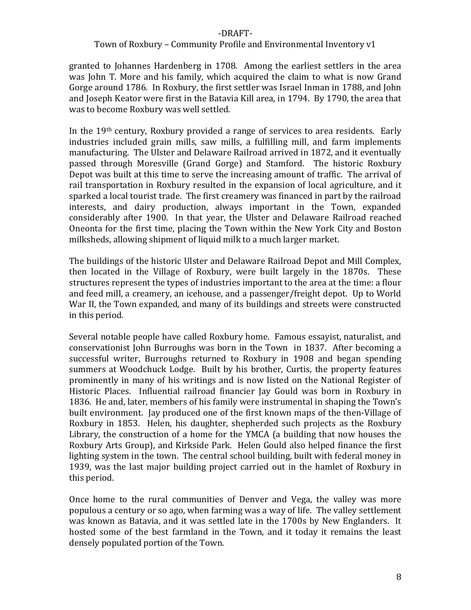#### Town of Roxbury – Community Profile and Environmental Inventory v1

granted to Johannes Hardenberg in 1708. Among the earliest settlers in the area was John T. More and his family, which acquired the claim to what is now Grand Gorge around 1786. In Roxbury, the first settler was Israel Inman in 1788, and John and Joseph Keator were first in the Batavia Kill area, in 1794. By 1790, the area that was to become Roxbury was well settled.

In the 19<sup>th</sup> century, Roxbury provided a range of services to area residents. Early industries included grain mills, saw mills, a fulfilling mill, and farm implements manufacturing. The Ulster and Delaware Railroad arrived in 1872, and it eventually passed through Moresville (Grand Gorge) and Stamford. The historic Roxbury Depot was built at this time to serve the increasing amount of traffic. The arrival of rail transportation in Roxbury resulted in the expansion of local agriculture, and it sparked a local tourist trade. The first creamery was financed in part by the railroad interests, and dairy production, always important in the Town, expanded considerably after 1900. In that year, the Ulster and Delaware Railroad reached Oneonta for the first time, placing the Town within the New York City and Boston milksheds, allowing shipment of liquid milk to a much larger market.

The buildings of the historic Ulster and Delaware Railroad Depot and Mill Complex, then located in the Village of Roxbury, were built largely in the 1870s. These structures represent the types of industries important to the area at the time: a flour and feed mill, a creamery, an icehouse, and a passenger/freight depot. Up to World War II, the Town expanded, and many of its buildings and streets were constructed in this period.

Several notable people have called Roxbury home. Famous essayist, naturalist, and conservationist John Burroughs was born in the Town in 1837. After becoming a successful writer, Burroughs returned to Roxbury in 1908 and began spending summers at Woodchuck Lodge. Built by his brother, Curtis, the property features prominently in many of his writings and is now listed on the National Register of Historic Places. Influential railroad financier Jay Gould was born in Roxbury in 1836. He and, later, members of his family were instrumental in shaping the Town's built environment. Jay produced one of the first known maps of the then‐Village of Roxbury in 1853. Helen, his daughter, shepherded such projects as the Roxbury Library, the construction of a home for the YMCA (a building that now houses the Roxbury Arts Group), and Kirkside Park. Helen Gould also helped finance the first lighting system in the town. The central school building, built with federal money in 1939, was the last major building project carried out in the hamlet of Roxbury in this period.

Once home to the rural communities of Denver and Vega, the valley was more populous a century or so ago, when farming was a way of life. The valley settlement was known as Batavia, and it was settled late in the 1700s by New Englanders. It hosted some of the best farmland in the Town, and it today it remains the least densely populated portion of the Town.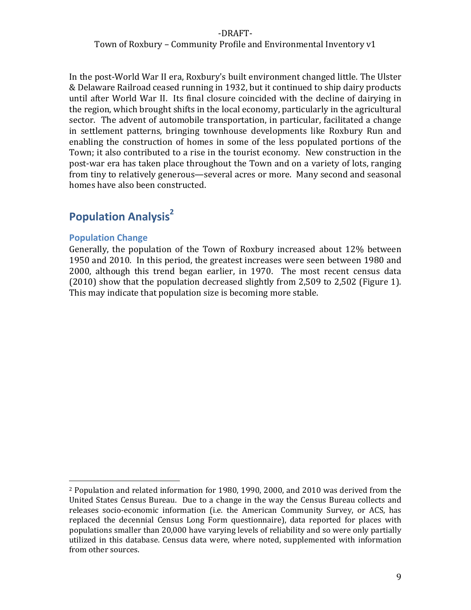### Town of Roxbury – Community Profile and Environmental Inventory v1

In the post‐World War II era, Roxbury's built environment changed little. The Ulster & Delaware Railroad ceased running in 1932, but it continued to ship dairy products until after World War II. Its final closure coincided with the decline of dairying in the region, which brought shifts in the local economy, particularly in the agricultural sector. The advent of automobile transportation, in particular, facilitated a change in settlement patterns, bringing townhouse developments like Roxbury Run and enabling the construction of homes in some of the less populated portions of the Town; it also contributed to a rise in the tourist economy. New construction in the post‐war era has taken place throughout the Town and on a variety of lots, ranging from tiny to relatively generous—several acres or more. Many second and seasonal homes have also been constructed.

# **Population Analysis2**

#### **Population Change**

Generally, the population of the Town of Roxbury increased about 12% between 1950 and 2010. In this period, the greatest increases were seen between 1980 and 2000, although this trend began earlier, in 1970. The most recent census data (2010) show that the population decreased slightly from 2,509 to 2,502 (Figure 1). This may indicate that population size is becoming more stable.

<sup>2</sup> Population and related information for 1980, 1990, 2000, and 2010 was derived from the United States Census Bureau. Due to a change in the way the Census Bureau collects and releases socio‐economic information (i.e. the American Community Survey, or ACS, has replaced the decennial Census Long Form questionnaire), data reported for places with populations smaller than 20,000 have varying levels of reliability and so were only partially utilized in this database. Census data were, where noted, supplemented with information from other sources.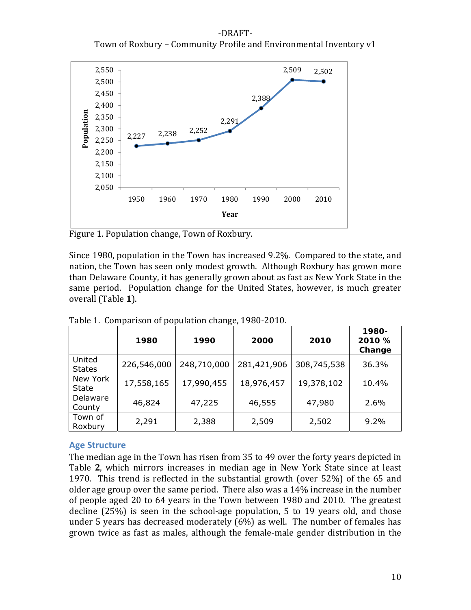‐DRAFT‐ Town of Roxbury – Community Profile and Environmental Inventory v1



Figure 1. Population change, Town of Roxbury.

Since 1980, population in the Town has increased 9.2%. Compared to the state, and nation, the Town has seen only modest growth. Although Roxbury has grown more than Delaware County, it has generally grown about as fast as New York State in the same period. Population change for the United States, however, is much greater overall (Table **1**).

|                         | 1980        | 1990        | 2000        | 2010        | 1980-<br>2010 %<br>Change |
|-------------------------|-------------|-------------|-------------|-------------|---------------------------|
| United<br><b>States</b> | 226,546,000 | 248,710,000 | 281,421,906 | 308,745,538 | 36.3%                     |
| New York<br>State       | 17,558,165  | 17,990,455  | 18,976,457  | 19,378,102  | 10.4%                     |
| Delaware<br>County      | 46,824      | 47,225      | 46,555      | 47,980      | $2.6\%$                   |
| Town of<br>Roxbury      | 2,291       | 2,388       | 2,509       | 2,502       | $9.2\%$                   |

Table 1. Comparison of population change, 1980‐2010.

#### **Age Structure**

The median age in the Town has risen from 35 to 49 over the forty years depicted in Table **2**, which mirrors increases in median age in New York State since at least 1970. This trend is reflected in the substantial growth (over 52%) of the 65 and older age group over the same period. There also was a 14% increase in the number of people aged 20 to 64 years in the Town between 1980 and 2010. The greatest decline (25%) is seen in the school‐age population, 5 to 19 years old, and those under 5 years has decreased moderately (6%) as well. The number of females has grown twice as fast as males, although the female‐male gender distribution in the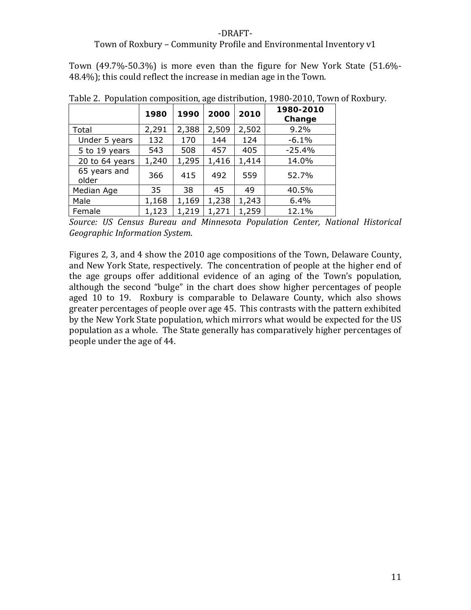#### Town of Roxbury – Community Profile and Environmental Inventory v1

Town  $(49.7\% - 50.3\%)$  is more even than the figure for New York State  $(51.6\% -$ 48.4%); this could reflect the increase in median age in the Town.

|                       | 1980  | 1990  | 2000  | 2010  | 1980-2010<br>Change |
|-----------------------|-------|-------|-------|-------|---------------------|
| Total                 | 2,291 | 2,388 | 2,509 | 2,502 | 9.2%                |
| Under 5 years         | 132   | 170   | 144   | 124   | $-6.1%$             |
| 5 to 19 years         | 543   | 508   | 457   | 405   | $-25.4%$            |
| 20 to 64 years        | 1,240 | 1,295 | 1,416 | 1,414 | 14.0%               |
| 65 years and<br>older | 366   | 415   | 492   | 559   | 52.7%               |
| Median Age            | 35    | 38    | 45    | 49    | 40.5%               |
| Male                  | 1,168 | 1,169 | 1,238 | 1,243 | 6.4%                |
| Female                | 1,123 | 1,219 | 1,271 | 1,259 | 12.1%               |

Table 2. Population composition, age distribution, 1980‐2010, Town of Roxbury.

*Source: US Census Bureau and Minnesota Population Center, National Historical Geographic Information System*.

Figures 2, 3, and 4 show the 2010 age compositions of the Town, Delaware County, and New York State, respectively. The concentration of people at the higher end of the age groups offer additional evidence of an aging of the Town's population, although the second "bulge" in the chart does show higher percentages of people aged 10 to 19. Roxbury is comparable to Delaware County, which also shows greater percentages of people over age 45. This contrasts with the pattern exhibited by the New York State population, which mirrors what would be expected for the US population as a whole. The State generally has comparatively higher percentages of people under the age of 44.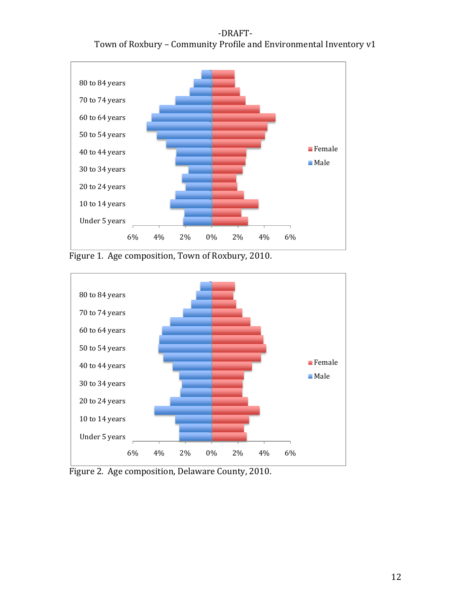‐DRAFT‐ Town of Roxbury – Community Profile and Environmental Inventory v1



Figure 1. Age composition, Town of Roxbury, 2010.



Figure 2. Age composition, Delaware County, 2010.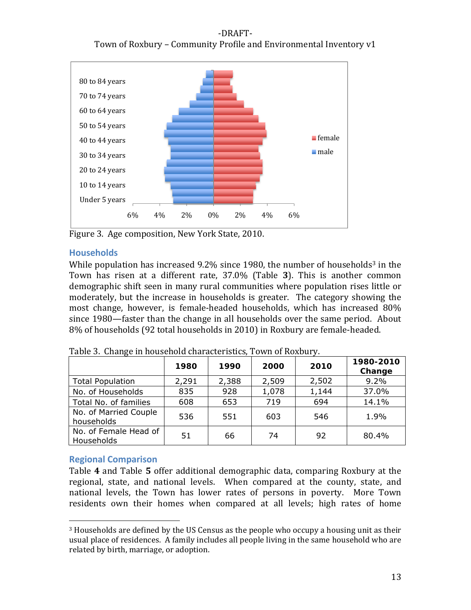



Figure 3. Age composition, New York State, 2010.

## **Households**

While population has increased  $9.2\%$  since 1980, the number of households<sup>3</sup> in the Town has risen at a different rate, 37.0% (Table **3**). This is another common demographic shift seen in many rural communities where population rises little or moderately, but the increase in households is greater. The category showing the most change, however, is female‐headed households, which has increased 80% since 1980—faster than the change in all households over the same period. About 8% of households (92 total households in 2010) in Roxbury are female‐headed.

|                                     | 1980  | 1990  | 2000  | 2010  | 1980-2010<br>Change |
|-------------------------------------|-------|-------|-------|-------|---------------------|
| <b>Total Population</b>             | 2,291 | 2,388 | 2,509 | 2,502 | 9.2%                |
| No. of Households                   | 835   | 928   | 1,078 | 1,144 | 37.0%               |
| Total No. of families               | 608   | 653   | 719   | 694   | 14.1%               |
| No. of Married Couple<br>households | 536   | 551   | 603   | 546   | 1.9%                |
| No. of Female Head of<br>Households | 51    | 66    | 74    | 92    | 80.4%               |

Table 3. Change in household characteristics, Town of Roxbury.

## **Regional Comparison**

Table **4** and Table **5** offer additional demographic data, comparing Roxbury at the regional, state, and national levels. When compared at the county, state, and national levels, the Town has lower rates of persons in poverty. More Town residents own their homes when compared at all levels; high rates of home

<sup>3</sup> Households are defined by the US Census as the people who occupy a housing unit as their usual place of residences. A family includes all people living in the same household who are related by birth, marriage, or adoption.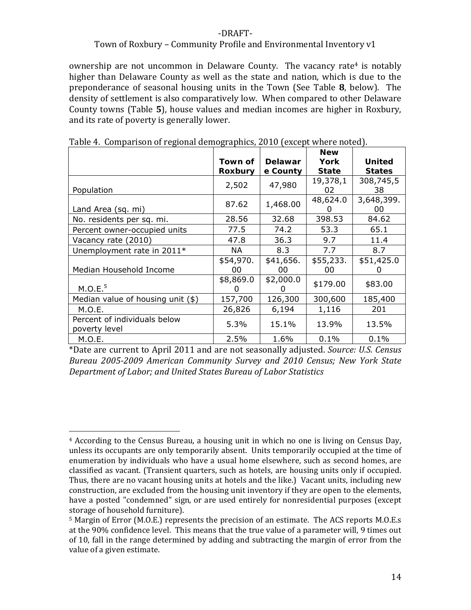#### Town of Roxbury – Community Profile and Environmental Inventory v1

ownership are not uncommon in Delaware County. The vacancy rate<sup>4</sup> is notably higher than Delaware County as well as the state and nation, which is due to the preponderance of seasonal housing units in the Town (See Table **8**, below). The density of settlement is also comparatively low. When compared to other Delaware County towns (Table **5**), house values and median incomes are higher in Roxbury, and its rate of poverty is generally lower.

|                                   |              |           | <b>New</b>   |               |
|-----------------------------------|--------------|-----------|--------------|---------------|
|                                   | Town of      | Delawar   | <b>York</b>  | <b>United</b> |
|                                   | Roxbury      | e County  | <b>State</b> | <b>States</b> |
|                                   |              | 47,980    | 19,378,1     | 308,745,5     |
| Population                        | 2,502        |           | 02           | 38            |
|                                   | 87.62        |           | 48,624.0     | 3,648,399.    |
| Land Area (sq. mi)                |              | 1,468.00  |              | 00            |
| No. residents per sq. mi.         | 28.56        | 32.68     | 398.53       | 84.62         |
| Percent owner-occupied units      | 77.5         | 74.2      | 53.3         | 65.1          |
| Vacancy rate (2010)               | 47.8         | 36.3      | 9.7          | 11.4          |
| Unemployment rate in 2011*        | NА           | 8.3       | 7.7          | 8.7           |
|                                   | \$54,970.    | \$41,656. | \$55,233.    | \$51,425.0    |
| Median Household Income           | 00           | 00        | 00           |               |
|                                   | \$8,869.0    | \$2,000.0 | \$179.00     | \$83.00       |
| M.O.E. <sup>5</sup>               | $\mathbf{0}$ |           |              |               |
| Median value of housing unit (\$) | 157,700      | 126,300   | 300,600      | 185,400       |
| M.O.E.                            | 26,826       | 6,194     | 1,116        | 201           |
| Percent of individuals below      |              |           |              |               |
| poverty level                     | 5.3%         | 15.1%     | 13.9%        | 13.5%         |
| M.O.E.                            | 2.5%         | 1.6%      | 0.1%         | 0.1%          |

Table 4. Comparison of regional demographics, 2010 (except where noted).

\*Date are current to April 2011 and are not seasonally adjusted. *Source: U.S. Census Bureau 20052009 American Community Survey and 2010 Census; New York State Department of Labor; and United States Bureau of Labor Statistics*

 4 According to the Census Bureau, a housing unit in which no one is living on Census Day, unless its occupants are only temporarily absent. Units temporarily occupied at the time of enumeration by individuals who have a usual home elsewhere, such as second homes, are classified as vacant. (Transient quarters, such as hotels, are housing units only if occupied. Thus, there are no vacant housing units at hotels and the like.) Vacant units, including new construction, are excluded from the housing unit inventory if they are open to the elements, have a posted "condemned" sign, or are used entirely for nonresidential purposes (except storage of household furniture).

<sup>5</sup> Margin of Error (M.O.E.) represents the precision of an estimate. The ACS reports M.O.E.s at the 90% confidence level. This means that the true value of a parameter will, 9 times out of 10, fall in the range determined by adding and subtracting the margin of error from the value of a given estimate.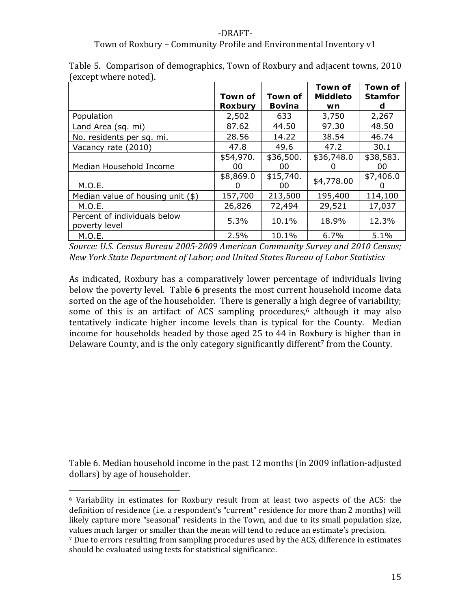## ‐DRAFT‐ Town of Roxbury – Community Profile and Environmental Inventory v1

|                                               | Town of<br><b>Roxbury</b> | Town of<br><b>Bovina</b> | Town of<br><b>Middleto</b><br>wn | Town of<br><b>Stamfor</b><br>d |
|-----------------------------------------------|---------------------------|--------------------------|----------------------------------|--------------------------------|
| Population                                    | 2,502                     | 633                      | 3,750                            | 2,267                          |
| Land Area (sq. mi)                            | 87.62                     | 44.50                    | 97.30                            | 48.50                          |
| No. residents per sq. mi.                     | 28.56                     | 14.22                    | 38.54                            | 46.74                          |
| Vacancy rate (2010)                           | 47.8                      | 49.6                     | 47.2                             | 30.1                           |
| Median Household Income                       | \$54,970.<br>00           | \$36,500.<br>00          | \$36,748.0                       | \$38,583.<br>00                |
| M.O.E.                                        | \$8,869.0                 | \$15,740.<br>00          | \$4,778.00                       | \$7,406.0                      |
| Median value of housing unit $(*)$            | 157,700                   | 213,500                  | 195,400                          | 114,100                        |
| M.O.E.                                        | 26,826                    | 72,494                   | 29,521                           | 17,037                         |
| Percent of individuals below<br>poverty level | 5.3%                      | 10.1%                    | 18.9%                            | 12.3%                          |
| M.O.E.                                        | 2.5%                      | 10.1%                    | 6.7%                             | 5.1%                           |

Table 5. Comparison of demographics, Town of Roxbury and adjacent towns, 2010 (except where noted).

*Source: U.S. Census Bureau 20052009 American Community Survey and 2010 Census; New York State Department of Labor; and United States Bureau of Labor Statistics*

As indicated, Roxbury has a comparatively lower percentage of individuals living below the poverty level. Table **6** presents the most current household income data sorted on the age of the householder. There is generally a high degree of variability; some of this is an artifact of ACS sampling procedures, $6$  although it may also tentatively indicate higher income levels than is typical for the County. Median income for households headed by those aged 25 to 44 in Roxbury is higher than in Delaware County, and is the only category significantly different<sup>7</sup> from the County.

Table 6. Median household income in the past 12 months (in 2009 inflation‐adjusted dollars) by age of householder.

<sup>6</sup> Variability in estimates for Roxbury result from at least two aspects of the ACS: the definition of residence (i.e. a respondent's "current" residence for more than 2 months) will likely capture more "seasonal" residents in the Town, and due to its small population size, values much larger or smaller than the mean will tend to reduce an estimate's precision.

<sup>7</sup> Due to errors resulting from sampling procedures used by the ACS, difference in estimates should be evaluated using tests for statistical significance.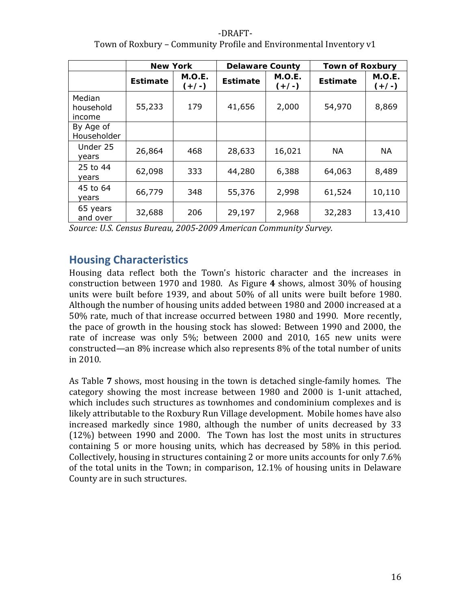# ‐DRAFT‐ Town of Roxbury – Community Profile and Environmental Inventory v1

|                               | <b>New York</b> |                   | <b>Delaware County</b> |                   | <b>Town of Roxbury</b> |                   |  |
|-------------------------------|-----------------|-------------------|------------------------|-------------------|------------------------|-------------------|--|
|                               | <b>Estimate</b> | M.O.E.<br>$(+/-)$ | <b>Estimate</b>        | M.O.E.<br>$(+/-)$ | <b>Estimate</b>        | M.O.E.<br>$(+/-)$ |  |
| Median<br>household<br>income | 55,233          | 179               | 41,656                 | 2,000             | 54,970                 | 8,869             |  |
| By Age of<br>Householder      |                 |                   |                        |                   |                        |                   |  |
| Under 25<br>years             | 26,864          | 468               | 28,633                 | 16,021            | <b>NA</b>              | <b>NA</b>         |  |
| 25 to 44<br>years             | 62,098          | 333               | 44,280                 | 6,388             | 64,063                 | 8,489             |  |
| 45 to 64<br>years             | 66,779          | 348               | 55,376                 | 2,998             | 61,524                 | 10,110            |  |
| 65 years<br>and over          | 32,688          | 206               | 29,197                 | 2,968             | 32,283                 | 13,410            |  |

*Source: U.S. Census Bureau, 20052009 American Community Survey.*

# **Housing Characteristics**

Housing data reflect both the Town's historic character and the increases in construction between 1970 and 1980. As Figure **4** shows, almost 30% of housing units were built before 1939, and about 50% of all units were built before 1980. Although the number of housing units added between 1980 and 2000 increased at a 50% rate, much of that increase occurred between 1980 and 1990. More recently, the pace of growth in the housing stock has slowed: Between 1990 and 2000, the rate of increase was only 5%; between 2000 and 2010, 165 new units were constructed—an 8% increase which also represents 8% of the total number of units in 2010.

As Table **7** shows, most housing in the town is detached single‐family homes. The category showing the most increase between 1980 and 2000 is 1‐unit attached, which includes such structures as townhomes and condominium complexes and is likely attributable to the Roxbury Run Village development. Mobile homes have also increased markedly since 1980, although the number of units decreased by 33 (12%) between 1990 and 2000. The Town has lost the most units in structures containing 5 or more housing units, which has decreased by 58% in this period. Collectively, housing in structures containing 2 or more units accounts for only 7.6% of the total units in the Town; in comparison, 12.1% of housing units in Delaware County are in such structures.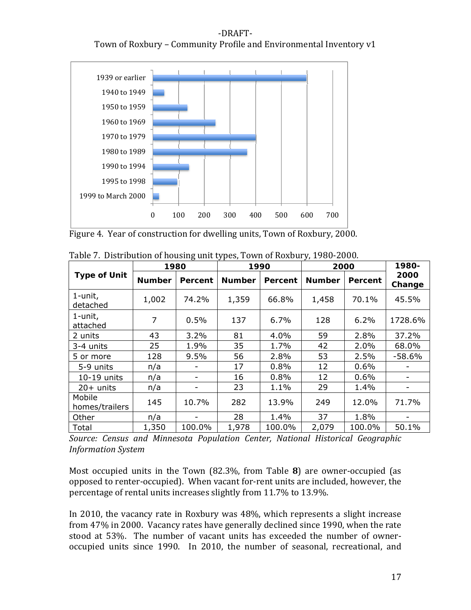‐DRAFT‐ Town of Roxbury – Community Profile and Environmental Inventory v1



Figure 4. Year of construction for dwelling units, Town of Roxbury, 2000.

|                          |               | 1980    |               | 1990    | 2000          | 1980-   |                |
|--------------------------|---------------|---------|---------------|---------|---------------|---------|----------------|
| <b>Type of Unit</b>      | <b>Number</b> | Percent | <b>Number</b> | Percent | <b>Number</b> | Percent | 2000<br>Change |
| 1-unit,<br>detached      | 1,002         | 74.2%   | 1,359         | 66.8%   | 1,458         | 70.1%   | 45.5%          |
| 1-unit,<br>attached      | 7             | 0.5%    | 137           | 6.7%    | 128           | 6.2%    | 1728.6%        |
| 2 units                  | 43            | 3.2%    | 81            | 4.0%    | 59            | 2.8%    | 37.2%          |
| 3-4 units                | 25            | 1.9%    | 35            | 1.7%    | 42            | 2.0%    | 68.0%          |
| 5 or more                | 128           | 9.5%    | 56            | 2.8%    | 53            | 2.5%    | $-58.6%$       |
| 5-9 units                | n/a           | -       | 17            | 0.8%    | 12            | 0.6%    | -              |
| 10-19 units              | n/a           | -       | 16            | 0.8%    | 12            | 0.6%    |                |
| $20+$ units              | n/a           | -       | 23            | 1.1%    | 29            | 1.4%    | -              |
| Mobile<br>homes/trailers | 145           | 10.7%   | 282           | 13.9%   | 249           | 12.0%   | 71.7%          |
| Other                    | n/a           |         | 28            | 1.4%    | 37            | 1.8%    |                |
| Total                    | 1,350         | 100.0%  | 1,978         | 100.0%  | 2,079         | 100.0%  | 50.1%          |

Table 7. Distribution of housing unit types, Town of Roxbury, 1980‐2000.

*Source: Census and Minnesota Population Center, National Historical Geographic Information System*

Most occupied units in the Town (82.3%, from Table **8**) are owner‐occupied (as opposed to renter‐occupied). When vacant for‐rent units are included, however, the percentage of rental units increases slightly from 11.7% to 13.9%.

In 2010, the vacancy rate in Roxbury was 48%, which represents a slight increase from 47% in 2000. Vacancy rates have generally declined since 1990, when the rate stood at 53%. The number of vacant units has exceeded the number of owneroccupied units since 1990. In 2010, the number of seasonal, recreational, and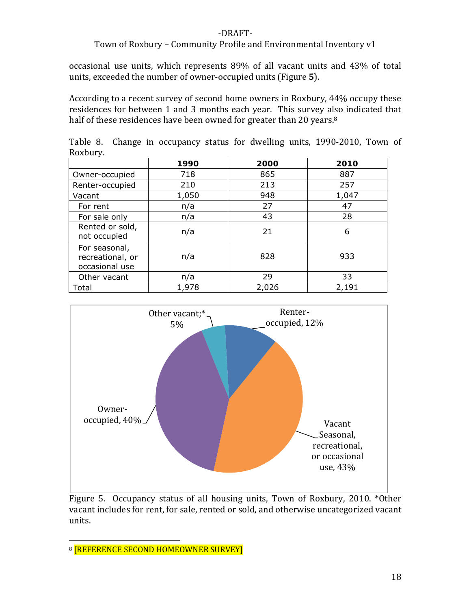#### Town of Roxbury – Community Profile and Environmental Inventory v1

occasional use units, which represents 89% of all vacant units and 43% of total units, exceeded the number of owner‐occupied units (Figure **5**).

According to a recent survey of second home owners in Roxbury, 44% occupy these residences for between 1 and 3 months each year. This survey also indicated that half of these residences have been owned for greater than 20 years.<sup>8</sup>

|          |  |  |  | Table 8. Change in occupancy status for dwelling units, 1990-2010, Town of |  |
|----------|--|--|--|----------------------------------------------------------------------------|--|
| Roxbury. |  |  |  |                                                                            |  |

|                                                     | 1990  | 2000  | 2010  |
|-----------------------------------------------------|-------|-------|-------|
| Owner-occupied                                      | 718   | 865   | 887   |
| Renter-occupied                                     | 210   | 213   | 257   |
| Vacant                                              | 1,050 | 948   | 1,047 |
| For rent                                            | n/a   | 27    | 47    |
| For sale only                                       | n/a   | 43    | 28    |
| Rented or sold,<br>not occupied                     | n/a   | 21    | 6     |
| For seasonal,<br>recreational, or<br>occasional use | n/a   | 828   | 933   |
| Other vacant                                        | n/a   | 29    | 33    |
| Total                                               | 1,978 | 2,026 | 2,191 |



Figure 5. Occupancy status of all housing units, Town of Roxbury, 2010. \*Other vacant includes for rent, for sale, rented or sold, and otherwise uncategorized vacant units.

<sup>8</sup> **[REFERENCE SECOND HOMEOWNER SURVEY]**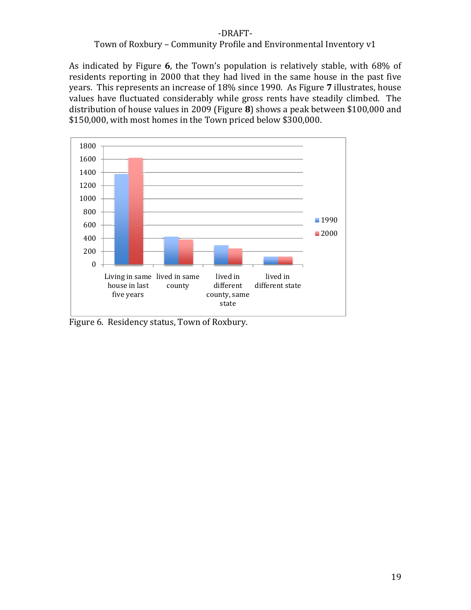#### Town of Roxbury – Community Profile and Environmental Inventory v1

As indicated by Figure **6**, the Town's population is relatively stable, with 68% of residents reporting in 2000 that they had lived in the same house in the past five years. This represents an increase of 18% since 1990. As Figure **7** illustrates, house values have fluctuated considerably while gross rents have steadily climbed. The distribution of house values in 2009 (Figure **8**) shows a peak between \$100,000 and \$150,000, with most homes in the Town priced below \$300,000.



Figure 6. Residency status, Town of Roxbury.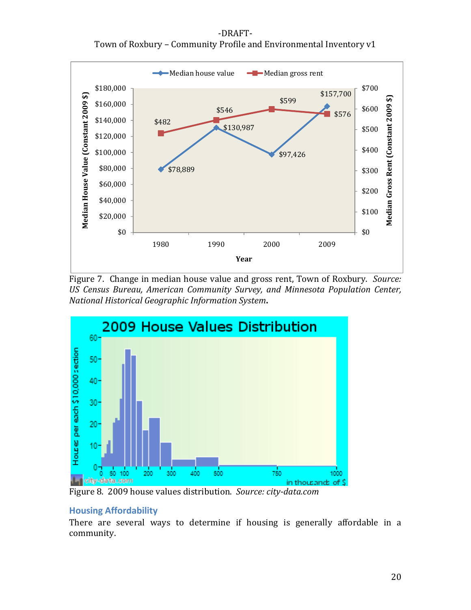‐DRAFT‐ Town of Roxbury – Community Profile and Environmental Inventory v1



Figure 7. Change in median house value and gross rent, Town of Roxbury. *Source: US Census Bureau, American Community Survey, and Minnesota Population Center, National Historical Geographic Information System***.**



Figure 8. 2009 house values distribution. *Source: citydata.com*

#### **Housing Affordability**

There are several ways to determine if housing is generally affordable in a community.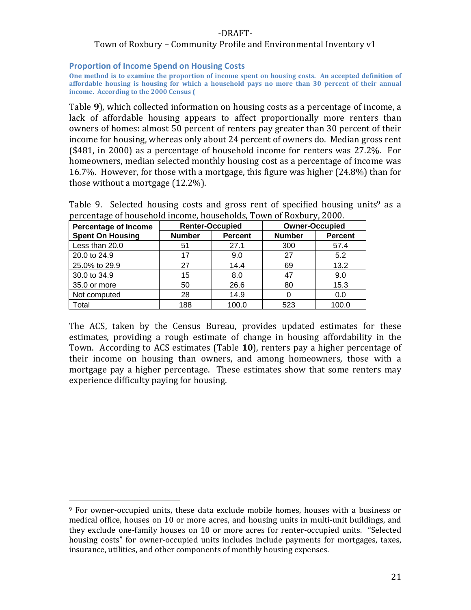#### Town of Roxbury – Community Profile and Environmental Inventory v1

#### **Proportion of Income Spend on Housing Costs**

One method is to examine the proportion of income spent on housing costs. An accepted definition of **affordable housing is housing for which a household pays no more than 30 percent of their annual income. According to the 2000 Census (**

Table **9**), which collected information on housing costs as a percentage of income, a lack of affordable housing appears to affect proportionally more renters than owners of homes: almost 50 percent of renters pay greater than 30 percent of their income for housing, whereas only about 24 percent of owners do. Median gross rent (\$481, in 2000) as a percentage of household income for renters was 27.2%. For homeowners, median selected monthly housing cost as a percentage of income was 16.7%. However, for those with a mortgage, this figure was higher (24.8%) than for those without a mortgage (12.2%).

Table 9. Selected housing costs and gross rent of specified housing units<sup>9</sup> as a percentage of household income, households, Town of Roxbury, 2000.

| <b>Percentage of Income</b> |               | <b>Renter-Occupied</b> | <b>Owner-Occupied</b> |                |  |
|-----------------------------|---------------|------------------------|-----------------------|----------------|--|
| <b>Spent On Housing</b>     | <b>Number</b> | <b>Percent</b>         | <b>Number</b>         | <b>Percent</b> |  |
| Less than 20.0              | 51            | 27.1                   | 300                   | 57.4           |  |
| 20.0 to 24.9                | 17            | 9.0                    | 27                    | 5.2            |  |
| 25.0% to 29.9               | 27            | 14.4                   | 69                    | 13.2           |  |
| 30.0 to 34.9                | 15            | 8.0                    | 47                    | 9.0            |  |
| 35.0 or more                | 50            | 26.6                   | 80                    | 15.3           |  |
| Not computed                | 28            | 14.9                   |                       | 0.0            |  |
| Total                       | 188           | 100.0                  | 523                   | 100.0          |  |

The ACS, taken by the Census Bureau, provides updated estimates for these estimates, providing a rough estimate of change in housing affordability in the Town. According to ACS estimates (Table **10**), renters pay a higher percentage of their income on housing than owners, and among homeowners, those with a mortgage pay a higher percentage. These estimates show that some renters may experience difficulty paying for housing.

<sup>&</sup>lt;sup>9</sup> For owner-occupied units, these data exclude mobile homes, houses with a business or medical office, houses on 10 or more acres, and housing units in multi‐unit buildings, and they exclude one-family houses on 10 or more acres for renter-occupied units. "Selected housing costs" for owner-occupied units includes include payments for mortgages, taxes, insurance, utilities, and other components of monthly housing expenses.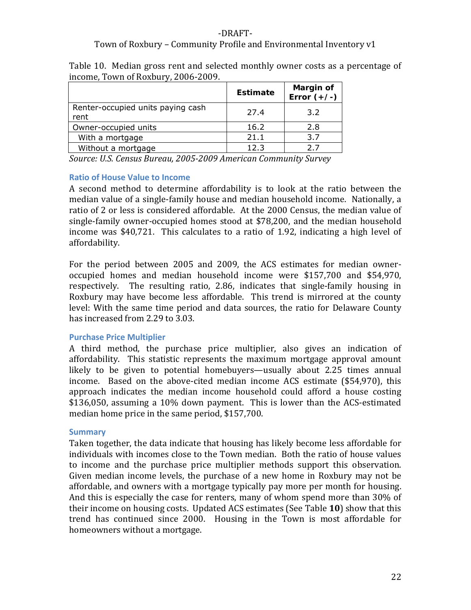#### ‐DRAFT‐ Town of Roxbury – Community Profile and Environmental Inventory v1

| Table 10. Median gross rent and selected monthly owner costs as a percentage of |  |  |  |  |  |  |
|---------------------------------------------------------------------------------|--|--|--|--|--|--|
| income, Town of Roxbury, 2006-2009.                                             |  |  |  |  |  |  |

|                                           | <b>Estimate</b> | Margin of<br>Error $(+/-)$ |
|-------------------------------------------|-----------------|----------------------------|
| Renter-occupied units paying cash<br>rent | 27.4            | 3.2                        |
| Owner-occupied units                      | 16.2            | 2.8                        |
| With a mortgage                           | 21.1            | 3.7                        |
| Without a mortgage                        | 12.3            |                            |

*Source: U.S. Census Bureau, 20052009 American Community Survey*

#### **Ratio of House Value to Income**

A second method to determine affordability is to look at the ratio between the median value of a single‐family house and median household income. Nationally, a ratio of 2 or less is considered affordable. At the 2000 Census, the median value of single‐family owner‐occupied homes stood at \$78,200, and the median household income was \$40,721. This calculates to a ratio of 1.92, indicating a high level of affordability.

For the period between 2005 and 2009, the ACS estimates for median owner‐ occupied homes and median household income were \$157,700 and \$54,970, respectively. The resulting ratio, 2.86, indicates that single-family housing in Roxbury may have become less affordable. This trend is mirrored at the county level: With the same time period and data sources, the ratio for Delaware County has increased from 2.29 to 3.03.

#### **Purchase Price Multiplier**

A third method, the purchase price multiplier, also gives an indication of affordability. This statistic represents the maximum mortgage approval amount likely to be given to potential homebuyers—usually about 2.25 times annual income. Based on the above-cited median income ACS estimate (\$54,970), this approach indicates the median income household could afford a house costing \$136,050, assuming a 10% down payment. This is lower than the ACS‐estimated median home price in the same period, \$157,700.

#### **Summary**

Taken together, the data indicate that housing has likely become less affordable for individuals with incomes close to the Town median. Both the ratio of house values to income and the purchase price multiplier methods support this observation. Given median income levels, the purchase of a new home in Roxbury may not be affordable, and owners with a mortgage typically pay more per month for housing. And this is especially the case for renters, many of whom spend more than 30% of their income on housing costs. Updated ACS estimates (See Table **10**) show that this trend has continued since 2000. Housing in the Town is most affordable for homeowners without a mortgage.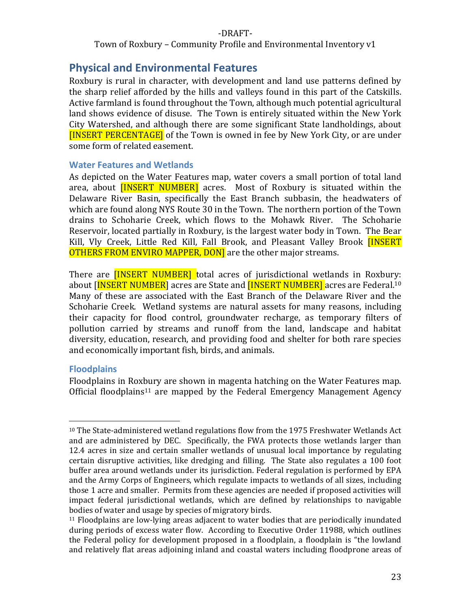Town of Roxbury – Community Profile and Environmental Inventory v1

# **Physical and Environmental Features**

Roxbury is rural in character, with development and land use patterns defined by the sharp relief afforded by the hills and valleys found in this part of the Catskills. Active farmland is found throughout the Town, although much potential agricultural land shows evidence of disuse. The Town is entirely situated within the New York City Watershed, and although there are some significant State landholdings, about [INSERT PERCENTAGE] of the Town is owned in fee by New York City, or are under some form of related easement.

#### **Water Features and Wetlands**

As depicted on the Water Features map, water covers a small portion of total land area, about **[INSERT NUMBER]** acres. Most of Roxbury is situated within the Delaware River Basin, specifically the East Branch subbasin, the headwaters of which are found along NYS Route 30 in the Town. The northern portion of the Town drains to Schoharie Creek, which flows to the Mohawk River. The Schoharie Reservoir, located partially in Roxbury, is the largest water body in Town. The Bear Kill, Vly Creek, Little Red Kill, Fall Brook, and Pleasant Valley Brook *[INSERT* OTHERS FROM ENVIRO MAPPER, DON] are the other major streams.

There are **[INSERT NUMBER]** total acres of jurisdictional wetlands in Roxbury: about [INSERT NUMBER] acres are State and **[INSERT NUMBER]** acres are Federal.<sup>10</sup> Many of these are associated with the East Branch of the Delaware River and the Schoharie Creek. Wetland systems are natural assets for many reasons, including their capacity for flood control, groundwater recharge, as temporary filters of pollution carried by streams and runoff from the land, landscape and habitat diversity, education, research, and providing food and shelter for both rare species and economically important fish, birds, and animals.

#### **Floodplains**

Floodplains in Roxbury are shown in magenta hatching on the Water Features map. Official floodplains<sup>11</sup> are mapped by the Federal Emergency Management Agency

 $10$  The State-administered wetland regulations flow from the 1975 Freshwater Wetlands Act and are administered by DEC. Specifically, the FWA protects those wetlands larger than 12.4 acres in size and certain smaller wetlands of unusual local importance by regulating certain disruptive activities, like dredging and filling. The State also regulates a 100 foot buffer area around wetlands under its jurisdiction. Federal regulation is performed by EPA and the Army Corps of Engineers, which regulate impacts to wetlands of all sizes, including those 1 acre and smaller. Permits from these agencies are needed if proposed activities will impact federal jurisdictional wetlands, which are defined by relationships to navigable bodies of water and usage by species of migratory birds.

<sup>11</sup> Floodplains are low‐lying areas adjacent to water bodies that are periodically inundated during periods of excess water flow. According to Executive Order 11988, which outlines the Federal policy for development proposed in a floodplain, a floodplain is "the lowland and relatively flat areas adjoining inland and coastal waters including floodprone areas of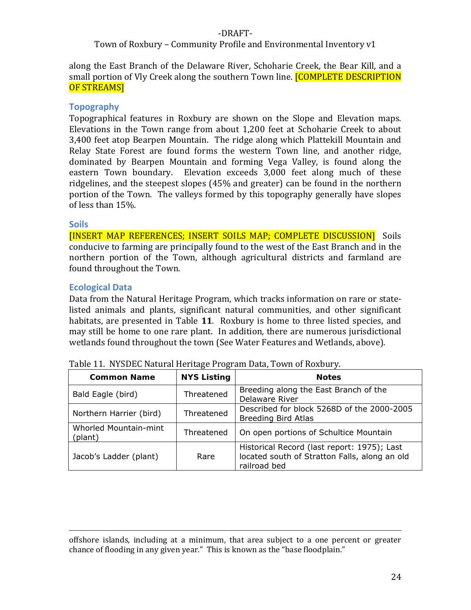#### Town of Roxbury – Community Profile and Environmental Inventory v1

along the East Branch of the Delaware River, Schoharie Creek, the Bear Kill, and a small portion of Vly Creek along the southern Town line. **[COMPLETE DESCRIPTION** OF STREAMS]

#### **Topography**

Topographical features in Roxbury are shown on the Slope and Elevation maps. Elevations in the Town range from about 1,200 feet at Schoharie Creek to about 3,400 feet atop Bearpen Mountain. The ridge along which Plattekill Mountain and Relay State Forest are found forms the western Town line, and another ridge, dominated by Bearpen Mountain and forming Vega Valley, is found along the eastern Town boundary. Elevation exceeds 3,000 feet along much of these ridgelines, and the steepest slopes (45% and greater) can be found in the northern portion of the Town. The valleys formed by this topography generally have slopes of less than 15%.

#### **Soils**

[INSERT MAP REFERENCES; INSERT SOILS MAP; COMPLETE DISCUSSION] Soils conducive to farming are principally found to the west of the East Branch and in the northern portion of the Town, although agricultural districts and farmland are found throughout the Town.

#### **Ecological Data**

Data from the Natural Heritage Program, which tracks information on rare or state‐ listed animals and plants, significant natural communities, and other significant habitats, are presented in Table 11. Roxbury is home to three listed species, and may still be home to one rare plant. In addition, there are numerous jurisdictional wetlands found throughout the town (See Water Features and Wetlands, above).

| <b>Common Name</b>               | <b>NYS Listing</b> | <b>Notes</b>                                                                                                 |
|----------------------------------|--------------------|--------------------------------------------------------------------------------------------------------------|
| Bald Eagle (bird)                | Threatened         | Breeding along the East Branch of the<br>Delaware River                                                      |
| Northern Harrier (bird)          | Threatened         | Described for block 5268D of the 2000-2005<br><b>Breeding Bird Atlas</b>                                     |
| Whorled Mountain-mint<br>(plant) | Threatened         | On open portions of Schultice Mountain                                                                       |
| Jacob's Ladder (plant)           | Rare               | Historical Record (last report: 1975); Last<br>located south of Stratton Falls, along an old<br>railroad bed |

Table 11. NYSDEC Natural Heritage Program Data, Town of Roxbury.

<u> 1989 - Andrea Santa Andrea Andrea Andrea Andrea Andrea Andrea Andrea Andrea Andrea Andrea Andrea Andrea Andr</u> offshore islands, including at a minimum, that area subject to a one percent or greater chance of flooding in any given year." This is known as the "base floodplain."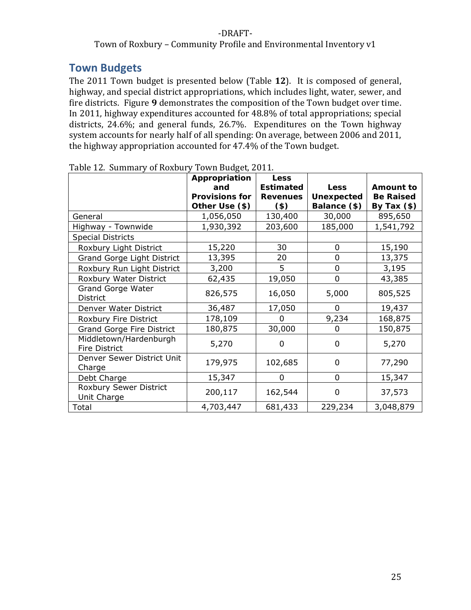#### Town of Roxbury – Community Profile and Environmental Inventory v1

# **Town Budgets**

The 2011 Town budget is presented below (Table **12**). It is composed of general, highway, and special district appropriations, which includes light, water, sewer, and fire districts. Figure **9** demonstrates the composition of the Town budget over time. In 2011, highway expenditures accounted for 48.8% of total appropriations; special districts, 24.6%; and general funds, 26.7%. Expenditures on the Town highway system accounts for nearly half of all spending: On average, between 2006 and 2011, the highway appropriation accounted for 47.4% of the Town budget.

|                            | Appropriation         | <b>Less</b>      |                |                  |
|----------------------------|-----------------------|------------------|----------------|------------------|
|                            | and                   | <b>Estimated</b> | <b>Less</b>    | <b>Amount to</b> |
|                            | <b>Provisions for</b> | <b>Revenues</b>  | Unexpected     | <b>Be Raised</b> |
|                            | Other Use (\$)        | $($ \$)          | Balance (\$)   | By Tax $(*)$     |
| General                    | 1,056,050             | 130,400          | 30,000         | 895,650          |
| Highway - Townwide         | 1,930,392             | 203,600          | 185,000        | 1,541,792        |
| <b>Special Districts</b>   |                       |                  |                |                  |
| Roxbury Light District     | 15,220                | 30               | $\overline{0}$ | 15,190           |
| Grand Gorge Light District | 13,395                | 20               | 0              | 13,375           |
| Roxbury Run Light District | 3,200                 | 5                | 0              | 3,195            |
| Roxbury Water District     | 62,435                | 19,050           | $\overline{0}$ | 43,385           |
| <b>Grand Gorge Water</b>   | 826,575               | 16,050           | 5,000          | 805,525          |
| District                   |                       |                  |                |                  |
| Denver Water District      | 36,487                | 17,050           | 0              | 19,437           |
| Roxbury Fire District      | 178,109               | O                | 9,234          | 168,875          |
| Grand Gorge Fire District  | 180,875               | 30,000           | $\Omega$       | 150,875          |
| Middletown/Hardenburgh     | 5,270                 | 0                | 0              | 5,270            |
| <b>Fire District</b>       |                       |                  |                |                  |
| Denver Sewer District Unit | 179,975               | 102,685          | 0              | 77,290           |
| Charge                     |                       |                  |                |                  |
| Debt Charge                | 15,347                | 0                | 0              | 15,347           |
| Roxbury Sewer District     | 200,117               | 162,544          | $\Omega$       | 37,573           |
| Unit Charge                |                       |                  |                |                  |
| Total                      | 4,703,447             | 681,433          | 229,234        | 3,048,879        |

Table 12. Summary of Roxbury Town Budget, 2011.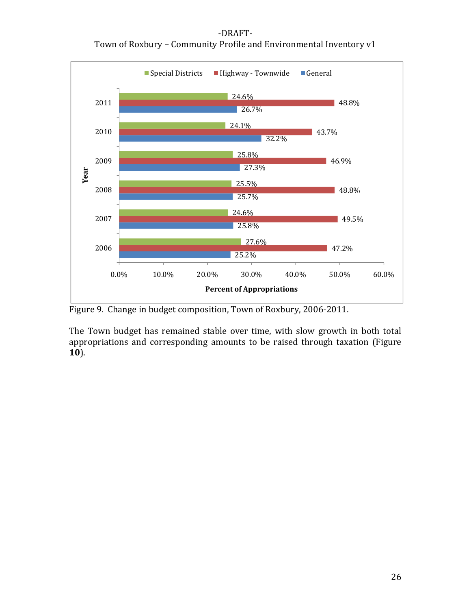‐DRAFT‐ Town of Roxbury – Community Profile and Environmental Inventory v1



Figure 9. Change in budget composition, Town of Roxbury, 2006‐2011.

The Town budget has remained stable over time, with slow growth in both total appropriations and corresponding amounts to be raised through taxation (Figure **10**).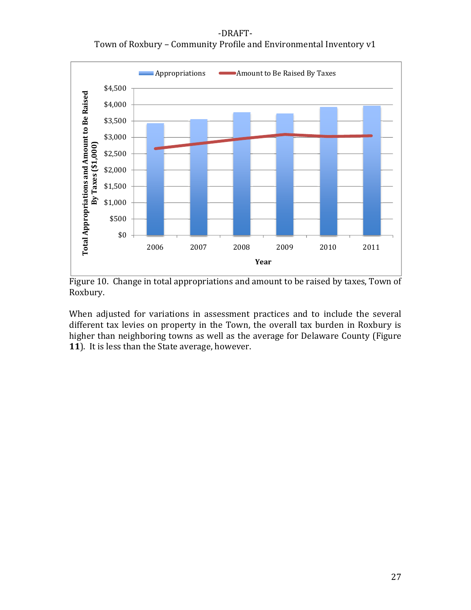‐DRAFT‐ Town of Roxbury – Community Profile and Environmental Inventory v1



Figure 10. Change in total appropriations and amount to be raised by taxes, Town of Roxbury.

When adjusted for variations in assessment practices and to include the several different tax levies on property in the Town, the overall tax burden in Roxbury is higher than neighboring towns as well as the average for Delaware County (Figure **11**). It is less than the State average, however.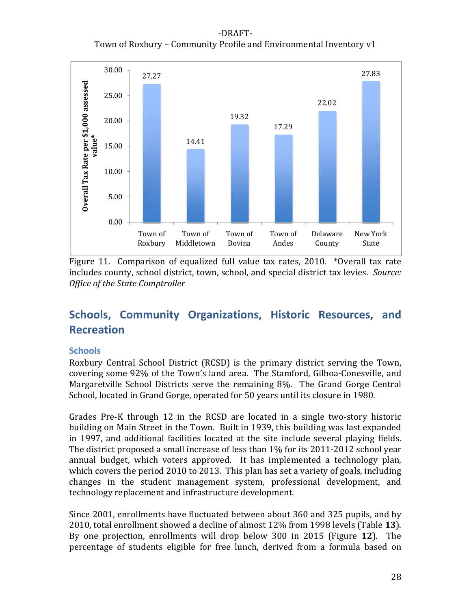‐DRAFT‐ Town of Roxbury – Community Profile and Environmental Inventory v1



Figure 11. Comparison of equalized full value tax rates, 2010. \*Overall tax rate includes county, school district, town, school, and special district tax levies. *Source: Office of the State Comptroller*

# **Schools, Community Organizations, Historic Resources, and Recreation**

#### **Schools**

Roxbury Central School District (RCSD) is the primary district serving the Town, covering some 92% of the Town's land area. The Stamford, Gilboa‐Conesville, and Margaretville School Districts serve the remaining 8%. The Grand Gorge Central School, located in Grand Gorge, operated for 50 years until its closure in 1980.

Grades Pre‐K through 12 in the RCSD are located in a single two‐story historic building on Main Street in the Town. Built in 1939, this building was last expanded in 1997, and additional facilities located at the site include several playing fields. The district proposed a small increase of less than 1% for its 2011-2012 school year annual budget, which voters approved. It has implemented a technology plan, which covers the period 2010 to 2013. This plan has set a variety of goals, including changes in the student management system, professional development, and technology replacement and infrastructure development.

Since 2001, enrollments have fluctuated between about 360 and 325 pupils, and by 2010, total enrollment showed a decline of almost 12% from 1998 levels (Table **13**). By one projection, enrollments will drop below 300 in 2015 (Figure **12**). The percentage of students eligible for free lunch, derived from a formula based on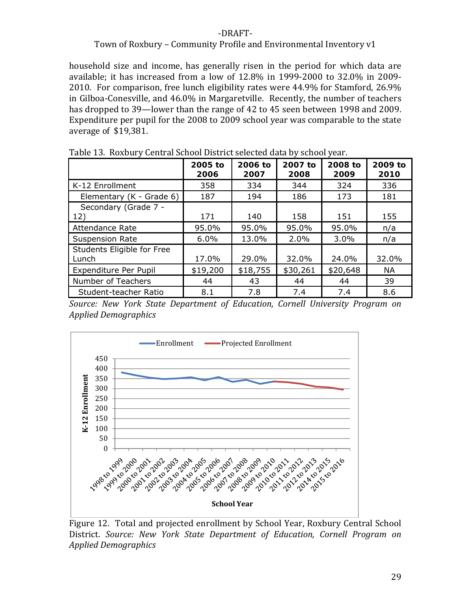#### Town of Roxbury – Community Profile and Environmental Inventory v1

household size and income, has generally risen in the period for which data are available; it has increased from a low of 12.8% in 1999‐2000 to 32.0% in 2009‐ 2010. For comparison, free lunch eligibility rates were 44.9% for Stamford, 26.9% in Gilboa‐Conesville, and 46.0% in Margaretville. Recently, the number of teachers has dropped to 39—lower than the range of 42 to 45 seen between 1998 and 2009. Expenditure per pupil for the 2008 to 2009 school year was comparable to the state average of \$19,381.

| Table 15. Ruxbully Gentral School District Sciected data by School year. |                 |                 |                 |                 |                 |
|--------------------------------------------------------------------------|-----------------|-----------------|-----------------|-----------------|-----------------|
|                                                                          | 2005 to<br>2006 | 2006 to<br>2007 | 2007 to<br>2008 | 2008 to<br>2009 | 2009 to<br>2010 |
| K-12 Enrollment                                                          | 358             | 334             | 344             | 324             | 336             |
| Elementary (K - Grade 6)                                                 | 187             | 194             | 186             | 173             | 181             |
| Secondary (Grade 7 -<br>12)                                              | 171             | 140             | 158             | 151             | 155             |
| <b>Attendance Rate</b>                                                   | 95.0%           | 95.0%           | 95.0%           | 95.0%           | n/a             |
| <b>Suspension Rate</b>                                                   | 6.0%            | 13.0%           | 2.0%            | 3.0%            | n/a             |
| Students Eligible for Free<br>Lunch                                      | 17.0%           | 29.0%           | 32.0%           | 24.0%           | 32.0%           |
| Expenditure Per Pupil                                                    | \$19,200        | \$18,755        | \$30,261        | \$20,648        | <b>NA</b>       |
| Number of Teachers                                                       | 44              | 43              | 44              | 44              | 39              |
| Student-teacher Ratio                                                    | 8.1             | 7.8             | 7.4             | 7.4             | 8.6             |

Table 13. Roxbury Central School District selected data by school year.

*Source: New York State Department of Education, Cornell University Program on Applied Demographics*



Figure 12. Total and projected enrollment by School Year, Roxbury Central School District. *Source: New York State Department of Education, Cornell Program on Applied Demographics*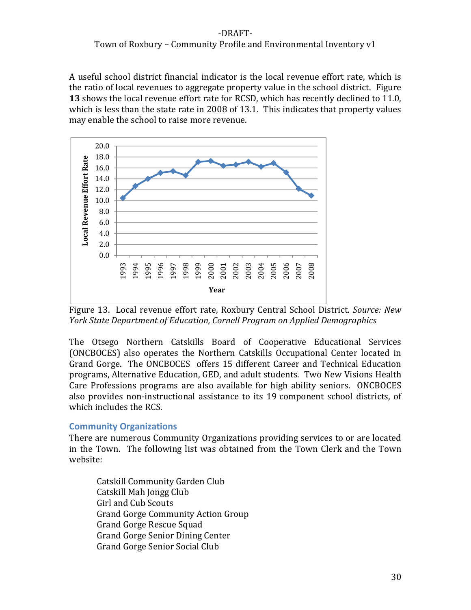## Town of Roxbury – Community Profile and Environmental Inventory v1

A useful school district financial indicator is the local revenue effort rate, which is the ratio of local revenues to aggregate property value in the school district. Figure **13** shows the local revenue effort rate for RCSD, which has recently declined to 11.0, which is less than the state rate in 2008 of 13.1. This indicates that property values may enable the school to raise more revenue.



Figure 13. Local revenue effort rate, Roxbury Central School District. *Source: New York State Department of Education, Cornell Program on Applied Demographics*

The Otsego Northern Catskills Board of Cooperative Educational Services (ONCBOCES) also operates the Northern Catskills Occupational Center located in Grand Gorge. The ONCBOCES offers 15 different Career and Technical Education programs, Alternative Education, GED, and adult students. Two New Visions Health Care Professions programs are also available for high ability seniors. ONCBOCES also provides non‐instructional assistance to its 19 component school districts, of which includes the RCS.

#### **Community Organizations**

There are numerous Community Organizations providing services to or are located in the Town. The following list was obtained from the Town Clerk and the Town website:

Catskill Community Garden Club Catskill Mah Jongg Club Girl and Cub Scouts Grand Gorge Community Action Group Grand Gorge Rescue Squad Grand Gorge Senior Dining Center Grand Gorge Senior Social Club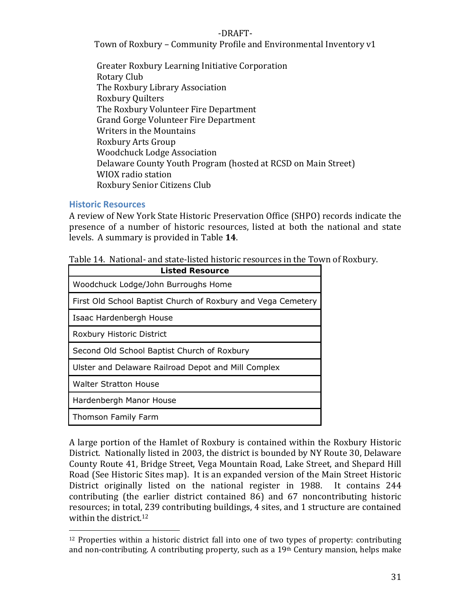Town of Roxbury – Community Profile and Environmental Inventory v1

Greater Roxbury Learning Initiative Corporation Rotary Club The Roxbury Library Association Roxbury Quilters The Roxbury Volunteer Fire Department Grand Gorge Volunteer Fire Department Writers in the Mountains Roxbury Arts Group Woodchuck Lodge Association Delaware County Youth Program (hosted at RCSD on Main Street) WIOX radio station Roxbury Senior Citizens Club

#### **Historic Resources**

A review of New York State Historic Preservation Office (SHPO) records indicate the presence of a number of historic resources, listed at both the national and state levels. A summary is provided in Table **14**.

| Table 14. National- and state-listed historic resources in the Town of Roxbury. |  |
|---------------------------------------------------------------------------------|--|
|---------------------------------------------------------------------------------|--|

| <b>Listed Resource</b>                                       |  |  |  |  |
|--------------------------------------------------------------|--|--|--|--|
| Woodchuck Lodge/John Burroughs Home                          |  |  |  |  |
| First Old School Baptist Church of Roxbury and Vega Cemetery |  |  |  |  |
| Isaac Hardenbergh House                                      |  |  |  |  |
| Roxbury Historic District                                    |  |  |  |  |
| Second Old School Baptist Church of Roxbury                  |  |  |  |  |
| Ulster and Delaware Railroad Depot and Mill Complex          |  |  |  |  |
| <b>Walter Stratton House</b>                                 |  |  |  |  |
| Hardenbergh Manor House                                      |  |  |  |  |
| Thomson Family Farm                                          |  |  |  |  |

A large portion of the Hamlet of Roxbury is contained within the Roxbury Historic District. Nationally listed in 2003, the district is bounded by NY Route 30, Delaware County Route 41, Bridge Street, Vega Mountain Road, Lake Street, and Shepard Hill Road (See Historic Sites map). It is an expanded version of the Main Street Historic District originally listed on the national register in 1988. It contains 244 contributing (the earlier district contained 86) and 67 noncontributing historic resources; in total, 239 contributing buildings, 4 sites, and 1 structure are contained within the district.<sup>12</sup>

 $12$  Properties within a historic district fall into one of two types of property: contributing and non-contributing. A contributing property, such as a 19<sup>th</sup> Century mansion, helps make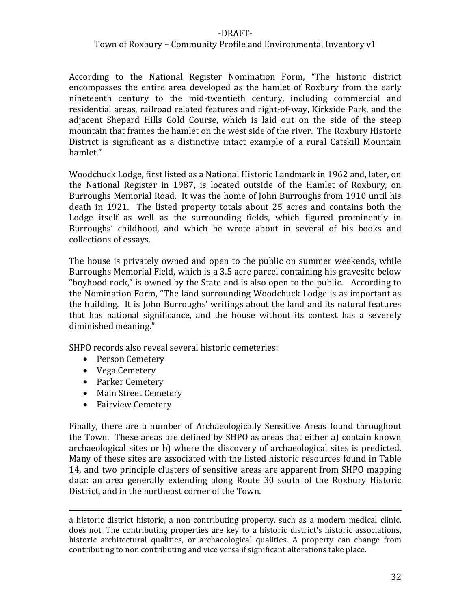#### Town of Roxbury – Community Profile and Environmental Inventory v1

According to the National Register Nomination Form, "The historic district encompasses the entire area developed as the hamlet of Roxbury from the early nineteenth century to the mid‐twentieth century, including commercial and residential areas, railroad related features and right‐of‐way, Kirkside Park, and the adjacent Shepard Hills Gold Course, which is laid out on the side of the steep mountain that frames the hamlet on the west side of the river. The Roxbury Historic District is significant as a distinctive intact example of a rural Catskill Mountain hamlet."

Woodchuck Lodge, first listed as a National Historic Landmark in 1962 and, later, on the National Register in 1987, is located outside of the Hamlet of Roxbury, on Burroughs Memorial Road. It was the home of John Burroughs from 1910 until his death in 1921. The listed property totals about 25 acres and contains both the Lodge itself as well as the surrounding fields, which figured prominently in Burroughs' childhood, and which he wrote about in several of his books and collections of essays.

The house is privately owned and open to the public on summer weekends, while Burroughs Memorial Field, which is a 3.5 acre parcel containing his gravesite below "boyhood rock," is owned by the State and is also open to the public. According to the Nomination Form, "The land surrounding Woodchuck Lodge is as important as the building. It is John Burroughs' writings about the land and its natural features that has national significance, and the house without its context has a severely diminished meaning."

SHPO records also reveal several historic cemeteries:

- Person Cemetery
- Vega Cemetery
- Parker Cemetery
- Main Street Cemetery
- Fairview Cemetery

Finally, there are a number of Archaeologically Sensitive Areas found throughout the Town. These areas are defined by SHPO as areas that either a) contain known archaeological sites or b) where the discovery of archaeological sites is predicted. Many of these sites are associated with the listed historic resources found in Table 14, and two principle clusters of sensitive areas are apparent from SHPO mapping data: an area generally extending along Route 30 south of the Roxbury Historic District, and in the northeast corner of the Town.

<u> 2002 - Andrea San Andrea San Andrea San Andrea San Andrea San Andrea San Andrea San Andrea San Andrea San An</u>

a historic district historic, a non contributing property, such as a modern medical clinic, does not. The contributing properties are key to a historic district's historic associations, historic architectural qualities, or archaeological qualities. A property can change from contributing to non contributing and vice versa if significant alterations take place.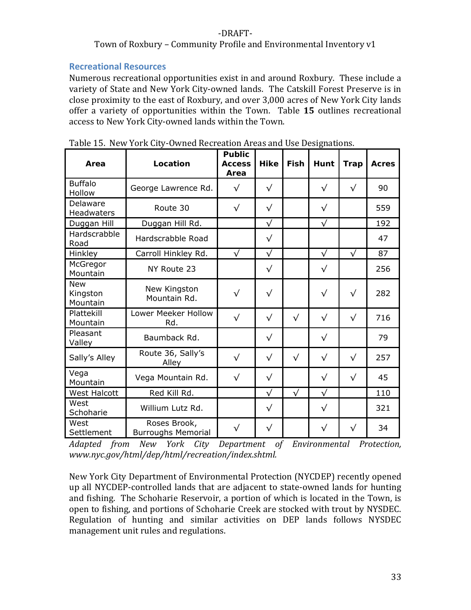#### Town of Roxbury – Community Profile and Environmental Inventory v1

#### **Recreational Resources**

Numerous recreational opportunities exist in and around Roxbury. These include a variety of State and New York City‐owned lands. The Catskill Forest Preserve is in close proximity to the east of Roxbury, and over 3,000 acres of New York City lands offer a variety of opportunities within the Town. Table **15** outlines recreational access to New York City‐owned lands within the Town.

| Area                               | Location                                  | <b>Public</b><br><b>Access</b><br>Area | <b>Hike</b> | Fish      | Hunt      | <b>Trap</b> | <b>Acres</b> |
|------------------------------------|-------------------------------------------|----------------------------------------|-------------|-----------|-----------|-------------|--------------|
| <b>Buffalo</b><br>Hollow           | George Lawrence Rd.                       | $\sqrt{}$                              | $\sqrt{}$   |           | $\sqrt{}$ | $\sqrt{}$   | 90           |
| Delaware<br><b>Headwaters</b>      | Route 30                                  | $\sqrt{}$                              | $\sqrt{}$   |           | $\sqrt{}$ |             | 559          |
| Duggan Hill                        | Duggan Hill Rd.                           |                                        | $\sqrt{}$   |           | $\sqrt{}$ |             | 192          |
| Hardscrabble<br>Road               | Hardscrabble Road                         |                                        | $\sqrt{}$   |           |           |             | 47           |
| <b>Hinkley</b>                     | Carroll Hinkley Rd.                       | $\sqrt{}$                              | $\sqrt{}$   |           | $\sqrt{}$ | $\sqrt{}$   | 87           |
| McGregor<br>Mountain               | NY Route 23                               |                                        | $\sqrt{}$   |           | $\sqrt{}$ |             | 256          |
| <b>New</b><br>Kingston<br>Mountain | New Kingston<br>Mountain Rd.              | $\sqrt{}$                              | $\sqrt{}$   |           | $\sqrt{}$ | $\sqrt{}$   | 282          |
| Plattekill<br>Mountain             | Lower Meeker Hollow<br>Rd.                | $\sqrt{}$                              | $\sqrt{}$   | $\sqrt{}$ | $\sqrt{}$ | $\sqrt{}$   | 716          |
| Pleasant<br>Valley                 | Baumback Rd.                              |                                        | $\sqrt{}$   |           | $\sqrt{}$ |             | 79           |
| Sally's Alley                      | Route 36, Sally's<br>Alley                | $\sqrt{}$                              | $\sqrt{}$   | $\sqrt{}$ | $\sqrt{}$ | $\sqrt{}$   | 257          |
| Vega<br>Mountain                   | Vega Mountain Rd.                         | $\sqrt{}$                              | $\sqrt{}$   |           | $\sqrt{}$ | $\sqrt{}$   | 45           |
| <b>West Halcott</b>                | Red Kill Rd.                              |                                        | $\sqrt{}$   | $\sqrt{}$ | $\sqrt{}$ |             | 110          |
| West<br>Schoharie                  | Willium Lutz Rd.                          |                                        | $\sqrt{}$   |           | $\sqrt{}$ |             | 321          |
| West<br>Settlement                 | Roses Brook,<br><b>Burroughs Memorial</b> | $\sqrt{}$                              | $\sqrt{}$   |           | $\sqrt{}$ | $\sqrt{}$   | 34           |

Table 15. New York City‐Owned Recreation Areas and Use Designations.

*Adapted from New York City Department of Environmental Protection, www.nyc.gov/html/dep/html/recreation/index.shtml.*

New York City Department of Environmental Protection (NYCDEP) recently opened up all NYCDEP‐controlled lands that are adjacent to state‐owned lands for hunting and fishing. The Schoharie Reservoir, a portion of which is located in the Town, is open to fishing, and portions of Schoharie Creek are stocked with trout by NYSDEC. Regulation of hunting and similar activities on DEP lands follows NYSDEC management unit rules and regulations.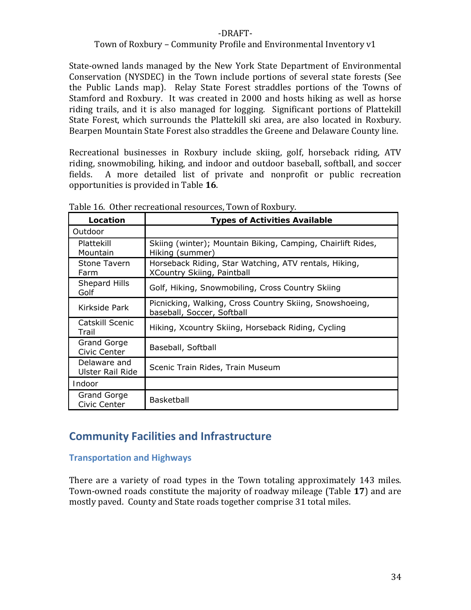#### Town of Roxbury – Community Profile and Environmental Inventory v1

State‐owned lands managed by the New York State Department of Environmental Conservation (NYSDEC) in the Town include portions of several state forests (See the Public Lands map). Relay State Forest straddles portions of the Towns of Stamford and Roxbury. It was created in 2000 and hosts hiking as well as horse riding trails, and it is also managed for logging. Significant portions of Plattekill State Forest, which surrounds the Plattekill ski area, are also located in Roxbury. Bearpen Mountain State Forest also straddles the Greene and Delaware County line.

Recreational businesses in Roxbury include skiing, golf, horseback riding, ATV riding, snowmobiling, hiking, and indoor and outdoor baseball, softball, and soccer fields. A more detailed list of private and nonprofit or public recreation opportunities is provided in Table **16**.

| Location                                | <b>Types of Activities Available</b>                                                       |
|-----------------------------------------|--------------------------------------------------------------------------------------------|
| Outdoor                                 |                                                                                            |
| Plattekill<br>Mountain                  | Skiing (winter); Mountain Biking, Camping, Chairlift Rides,<br>Hiking (summer)             |
| Stone Tavern<br>Farm                    | Horseback Riding, Star Watching, ATV rentals, Hiking,<br><b>XCountry Skiing, Paintball</b> |
| Shepard Hills<br>Golf                   | Golf, Hiking, Snowmobiling, Cross Country Skiing                                           |
| Kirkside Park                           | Picnicking, Walking, Cross Country Skiing, Snowshoeing,<br>baseball, Soccer, Softball      |
| Catskill Scenic<br>Trail                | Hiking, Xcountry Skiing, Horseback Riding, Cycling                                         |
| Grand Gorge<br>Civic Center             | Baseball, Softball                                                                         |
| Delaware and<br><b>Ulster Rail Ride</b> | Scenic Train Rides, Train Museum                                                           |
| <i>Indoor</i>                           |                                                                                            |
| Grand Gorge<br>Civic Center             | <b>Basketball</b>                                                                          |

Table 16. Other recreational resources, Town of Roxbury.

# **Community Facilities and Infrastructure**

#### **Transportation and Highways**

There are a variety of road types in the Town totaling approximately 143 miles. Town‐owned roads constitute the majority of roadway mileage (Table **17**) and are mostly paved. County and State roads together comprise 31 total miles.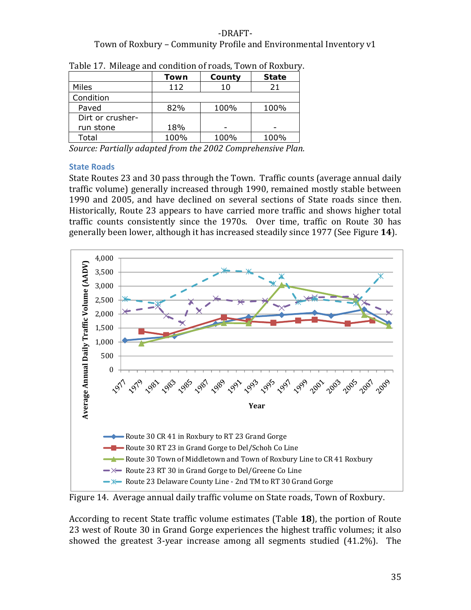## ‐DRAFT‐ Town of Roxbury – Community Profile and Environmental Inventory v1

|                  | Town | County | <b>State</b> |
|------------------|------|--------|--------------|
| Miles            | 112  | 10     | 21           |
| Condition        |      |        |              |
| Paved            | 82%  | 100%   | 100%         |
| Dirt or crusher- |      |        |              |
| run stone        | 18%  |        |              |
| Total            | 100% | 100%   | 100%         |

Table 17. Mileage and condition of roads, Town of Roxbury.

*Source: Partially adapted from the 2002 Comprehensive Plan.*

#### **State Roads**

State Routes 23 and 30 pass through the Town. Traffic counts (average annual daily traffic volume) generally increased through 1990, remained mostly stable between 1990 and 2005, and have declined on several sections of State roads since then. Historically, Route 23 appears to have carried more traffic and shows higher total traffic counts consistently since the 1970s. Over time, traffic on Route 30 has generally been lower, although it has increased steadily since 1977 (See Figure **14**).



Figure 14. Average annual daily traffic volume on State roads, Town of Roxbury.

According to recent State traffic volume estimates (Table **18**), the portion of Route 23 west of Route 30 in Grand Gorge experiences the highest traffic volumes; it also showed the greatest 3-year increase among all segments studied (41.2%). The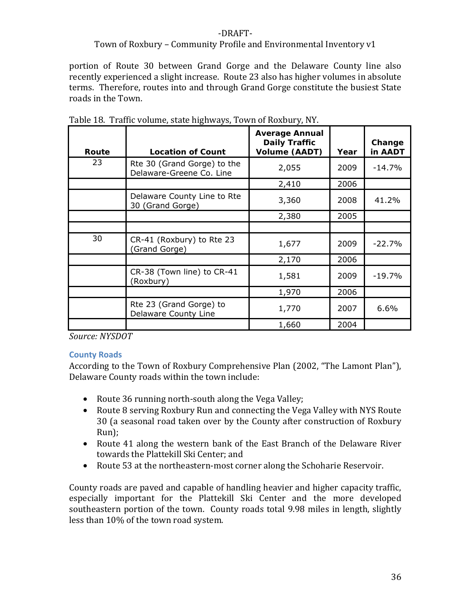#### Town of Roxbury – Community Profile and Environmental Inventory v1

portion of Route 30 between Grand Gorge and the Delaware County line also recently experienced a slight increase. Route 23 also has higher volumes in absolute terms. Therefore, routes into and through Grand Gorge constitute the busiest State roads in the Town.

| Route | <b>Location of Count</b>                                | <b>Average Annual</b><br><b>Daily Traffic</b><br><b>Volume (AADT)</b> | Year | Change<br>in AADT |
|-------|---------------------------------------------------------|-----------------------------------------------------------------------|------|-------------------|
| 23    | Rte 30 (Grand Gorge) to the<br>Delaware-Greene Co. Line | 2,055                                                                 | 2009 | $-14.7%$          |
|       |                                                         | 2,410                                                                 | 2006 |                   |
|       | Delaware County Line to Rte<br>30 (Grand Gorge)         | 3,360                                                                 | 2008 | 41.2%             |
|       |                                                         | 2,380                                                                 | 2005 |                   |
|       |                                                         |                                                                       |      |                   |
| 30    | CR-41 (Roxbury) to Rte 23<br>(Grand Gorge)              | 1,677                                                                 | 2009 | $-22.7%$          |
|       |                                                         | 2,170                                                                 | 2006 |                   |
|       | CR-38 (Town line) to CR-41<br>(Roxbury)                 | 1,581                                                                 | 2009 | $-19.7%$          |
|       |                                                         | 1,970                                                                 | 2006 |                   |
|       | Rte 23 (Grand Gorge) to<br>Delaware County Line         | 1,770                                                                 | 2007 | 6.6%              |
|       |                                                         | 1,660                                                                 | 2004 |                   |

|  | Table 18. Traffic volume, state highways, Town of Roxbury, NY. |  |
|--|----------------------------------------------------------------|--|
|  |                                                                |  |
|  |                                                                |  |

*Source: NYSDOT*

#### **County Roads**

According to the Town of Roxbury Comprehensive Plan (2002, "The Lamont Plan"), Delaware County roads within the town include:

- Route 36 running north-south along the Vega Valley;
- Route 8 serving Roxbury Run and connecting the Vega Valley with NYS Route 30 (a seasonal road taken over by the County after construction of Roxbury Run);
- Route 41 along the western bank of the East Branch of the Delaware River towards the Plattekill Ski Center; and
- Route 53 at the northeastern-most corner along the Schoharie Reservoir.

County roads are paved and capable of handling heavier and higher capacity traffic, especially important for the Plattekill Ski Center and the more developed southeastern portion of the town. County roads total 9.98 miles in length, slightly less than 10% of the town road system.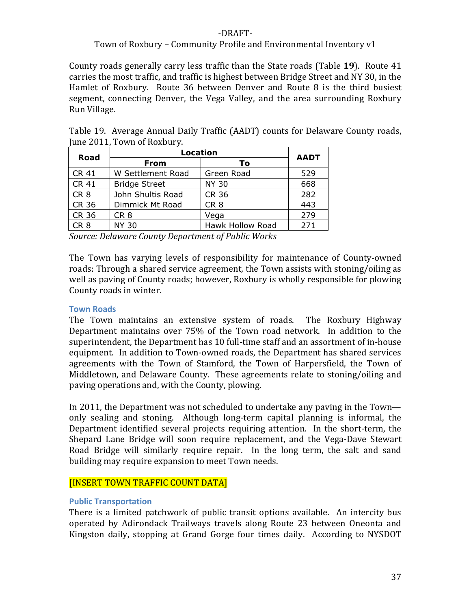#### Town of Roxbury – Community Profile and Environmental Inventory v1

County roads generally carry less traffic than the State roads (Table **19**). Route 41 carries the most traffic, and traffic is highest between Bridge Street and NY 30, in the Hamlet of Roxbury. Route 36 between Denver and Route 8 is the third busiest segment, connecting Denver, the Vega Valley, and the area surrounding Roxbury Run Village.

| Road            | Location             | <b>AADT</b>      |     |  |
|-----------------|----------------------|------------------|-----|--|
|                 | From                 | Τo               |     |  |
| <b>CR 41</b>    | W Settlement Road    | Green Road       | 529 |  |
| <b>CR 41</b>    | <b>Bridge Street</b> | <b>NY 30</b>     | 668 |  |
| CR <sub>8</sub> | John Shultis Road    | <b>CR 36</b>     | 282 |  |
| CR 36           | Dimmick Mt Road      | CR <sub>8</sub>  | 443 |  |
| CR 36           | CR <sub>8</sub>      | Vega             | 279 |  |
| CR 8            | <b>NY 30</b>         | Hawk Hollow Road | 271 |  |

Table 19. Average Annual Daily Traffic (AADT) counts for Delaware County roads, June 2011, Town of Roxbury.

*Source: Delaware County Department of Public Works* 

The Town has varying levels of responsibility for maintenance of County-owned roads: Through a shared service agreement, the Town assists with stoning/oiling as well as paving of County roads; however, Roxbury is wholly responsible for plowing County roads in winter.

#### **Town Roads**

The Town maintains an extensive system of roads. The Roxbury Highway Department maintains over 75% of the Town road network. In addition to the superintendent, the Department has 10 full-time staff and an assortment of in-house equipment. In addition to Town‐owned roads, the Department has shared services agreements with the Town of Stamford, the Town of Harpersfield, the Town of Middletown, and Delaware County. These agreements relate to stoning/oiling and paving operations and, with the County, plowing.

In 2011, the Department was not scheduled to undertake any paving in the Town only sealing and stoning. Although long‐term capital planning is informal, the Department identified several projects requiring attention. In the short-term, the Shepard Lane Bridge will soon require replacement, and the Vega-Dave Stewart Road Bridge will similarly require repair. In the long term, the salt and sand building may require expansion to meet Town needs.

#### [INSERT TOWN TRAFFIC COUNT DATA]

#### **Public Transportation**

There is a limited patchwork of public transit options available. An intercity bus operated by Adirondack Trailways travels along Route 23 between Oneonta and Kingston daily, stopping at Grand Gorge four times daily. According to NYSDOT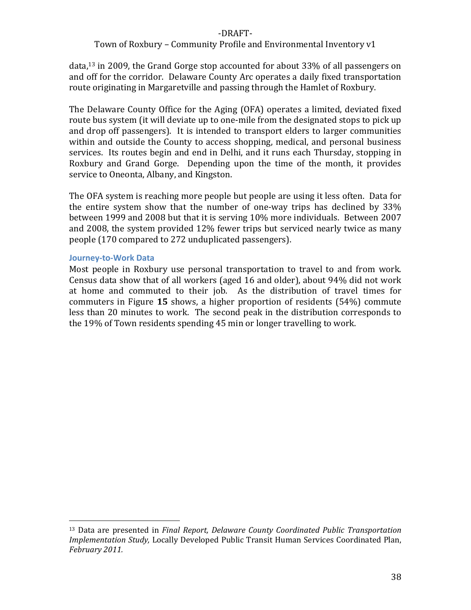#### Town of Roxbury – Community Profile and Environmental Inventory v1

data,13 in 2009, the Grand Gorge stop accounted for about 33% of all passengers on and off for the corridor. Delaware County Arc operates a daily fixed transportation route originating in Margaretville and passing through the Hamlet of Roxbury.

The Delaware County Office for the Aging (OFA) operates a limited, deviated fixed route bus system (it will deviate up to one‐mile from the designated stops to pick up and drop off passengers). It is intended to transport elders to larger communities within and outside the County to access shopping, medical, and personal business services. Its routes begin and end in Delhi, and it runs each Thursday, stopping in Roxbury and Grand Gorge. Depending upon the time of the month, it provides service to Oneonta, Albany, and Kingston.

The OFA system is reaching more people but people are using it less often. Data for the entire system show that the number of one-way trips has declined by 33% between 1999 and 2008 but that it is serving 10% more individuals. Between 2007 and 2008, the system provided 12% fewer trips but serviced nearly twice as many people (170 compared to 272 unduplicated passengers).

#### **Journey‐to‐Work Data**

Most people in Roxbury use personal transportation to travel to and from work. Census data show that of all workers (aged 16 and older), about 94% did not work at home and commuted to their job. As the distribution of travel times for commuters in Figure **15** shows, a higher proportion of residents (54%) commute less than 20 minutes to work. The second peak in the distribution corresponds to the 19% of Town residents spending 45 min or longer travelling to work.

<sup>13</sup> Data are presented in *Final Report, Delaware County Coordinated Public Transportation Implementation Study,* Locally Developed Public Transit Human Services Coordinated Plan, *February 2011.*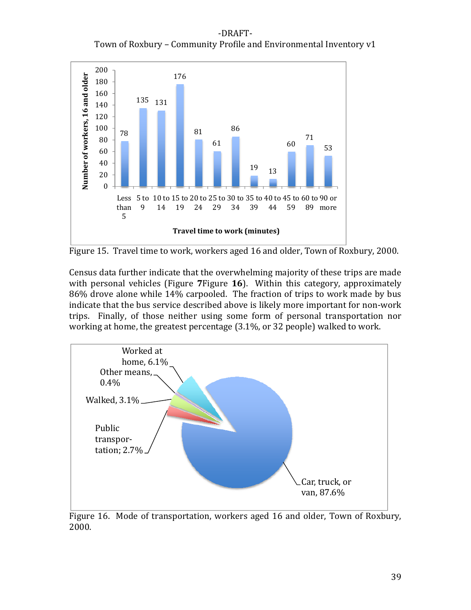‐DRAFT‐ Town of Roxbury – Community Profile and Environmental Inventory v1



Figure 15. Travel time to work, workers aged 16 and older, Town of Roxbury, 2000.

Census data further indicate that the overwhelming majority of these trips are made with personal vehicles (Figure **7**Figure **16**). Within this category, approximately 86% drove alone while 14% carpooled. The fraction of trips to work made by bus indicate that the bus service described above is likely more important for non‐work trips. Finally, of those neither using some form of personal transportation nor working at home, the greatest percentage (3.1%, or 32 people) walked to work.



Figure 16. Mode of transportation, workers aged 16 and older, Town of Roxbury, 2000.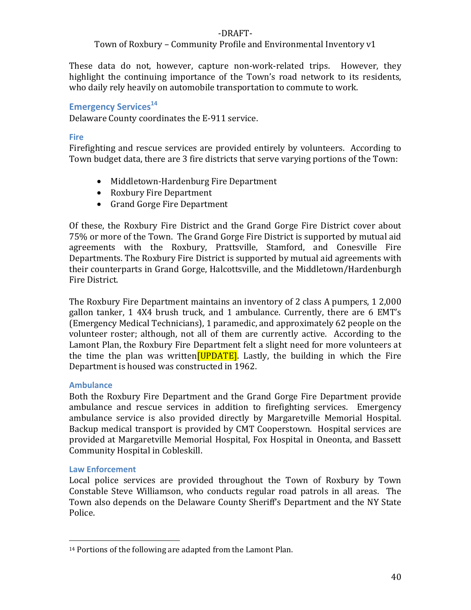#### Town of Roxbury – Community Profile and Environmental Inventory v1

These data do not, however, capture non‐work‐related trips. However, they highlight the continuing importance of the Town's road network to its residents, who daily rely heavily on automobile transportation to commute to work.

## **Emergency Services**<sup>14</sup>

Delaware County coordinates the E‐911 service.

#### **Fire**

Firefighting and rescue services are provided entirely by volunteers. According to Town budget data, there are 3 fire districts that serve varying portions of the Town:

- Middletown-Hardenburg Fire Department
- Roxbury Fire Department
- Grand Gorge Fire Department

Of these, the Roxbury Fire District and the Grand Gorge Fire District cover about 75% or more of the Town. The Grand Gorge Fire District is supported by mutual aid agreements with the Roxbury, Prattsville, Stamford, and Conesville Fire Departments. The Roxbury Fire District is supported by mutual aid agreements with their counterparts in Grand Gorge, Halcottsville, and the Middletown/Hardenburgh Fire District.

The Roxbury Fire Department maintains an inventory of 2 class A pumpers, 1 2,000 gallon tanker, 1 4X4 brush truck, and 1 ambulance. Currently, there are 6 EMT's (Emergency Medical Technicians), 1 paramedic, and approximately 62 people on the volunteer roster; although, not all of them are currently active. According to the Lamont Plan, the Roxbury Fire Department felt a slight need for more volunteers at the time the plan was written<sup>[UPDATE]</sup>. Lastly, the building in which the Fire Department is housed was constructed in 1962.

#### **Ambulance**

Both the Roxbury Fire Department and the Grand Gorge Fire Department provide ambulance and rescue services in addition to firefighting services. Emergency ambulance service is also provided directly by Margaretville Memorial Hospital. Backup medical transport is provided by CMT Cooperstown. Hospital services are provided at Margaretville Memorial Hospital, Fox Hospital in Oneonta, and Bassett Community Hospital in Cobleskill.

#### **Law Enforcement**

Local police services are provided throughout the Town of Roxbury by Town Constable Steve Williamson, who conducts regular road patrols in all areas. The Town also depends on the Delaware County Sheriff's Department and the NY State Police.

<sup>14</sup> Portions of the following are adapted from the Lamont Plan.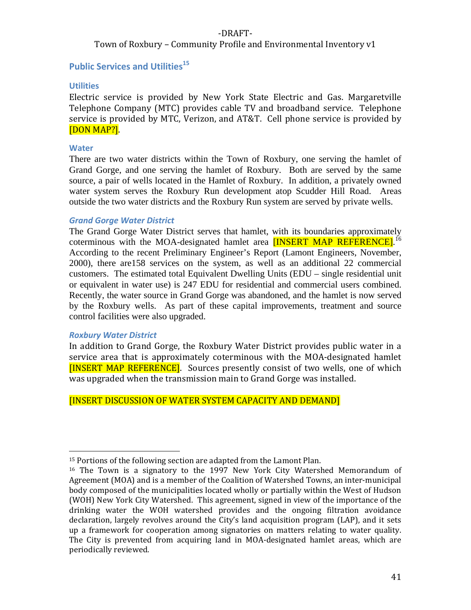Town of Roxbury – Community Profile and Environmental Inventory v1

#### **Public Services and Utilities<sup>15</sup>**

#### **Utilities**

Electric service is provided by New York State Electric and Gas. Margaretville Telephone Company (MTC) provides cable TV and broadband service. Telephone service is provided by MTC, Verizon, and AT&T. Cell phone service is provided by [DON MAP?].

#### **Water**

There are two water districts within the Town of Roxbury, one serving the hamlet of Grand Gorge, and one serving the hamlet of Roxbury. Both are served by the same source, a pair of wells located in the Hamlet of Roxbury. In addition, a privately owned water system serves the Roxbury Run development atop Scudder Hill Road. Areas outside the two water districts and the Roxbury Run system are served by private wells.

#### *Grand Gorge Water District*

The Grand Gorge Water District serves that hamlet, with its boundaries approximately coterminous with the MOA-designated hamlet area **[INSERT MAP REFERENCE]**.<sup>16</sup> According to the recent Preliminary Engineer's Report (Lamont Engineers, November, 2000), there are158 services on the system, as well as an additional 22 commercial customers. The estimated total Equivalent Dwelling Units (EDU – single residential unit or equivalent in water use) is 247 EDU for residential and commercial users combined. Recently, the water source in Grand Gorge was abandoned, and the hamlet is now served by the Roxbury wells. As part of these capital improvements, treatment and source control facilities were also upgraded.

#### *Roxbury Water District*

In addition to Grand Gorge, the Roxbury Water District provides public water in a service area that is approximately coterminous with the MOA-designated hamlet [INSERT MAP REFERENCE]. Sources presently consist of two wells, one of which was upgraded when the transmission main to Grand Gorge was installed.

#### [INSERT DISCUSSION OF WATER SYSTEM CAPACITY AND DEMAND]

<sup>&</sup>lt;sup>15</sup> Portions of the following section are adapted from the Lamont Plan.

<sup>&</sup>lt;sup>16</sup> The Town is a signatory to the 1997 New York City Watershed Memorandum of Agreement (MOA) and is a member of the Coalition of Watershed Towns, an inter‐municipal body composed of the municipalities located wholly or partially within the West of Hudson (WOH) New York City Watershed. This agreement, signed in view of the importance of the drinking water the WOH watershed provides and the ongoing filtration avoidance declaration, largely revolves around the City's land acquisition program (LAP), and it sets up a framework for cooperation among signatories on matters relating to water quality. The City is prevented from acquiring land in MOA‐designated hamlet areas, which are periodically reviewed.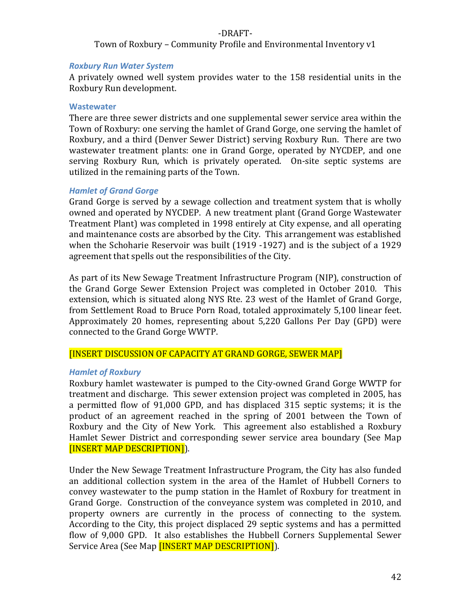Town of Roxbury – Community Profile and Environmental Inventory v1

#### *Roxbury Run Water System*

A privately owned well system provides water to the 158 residential units in the Roxbury Run development.

#### **Wastewater**

There are three sewer districts and one supplemental sewer service area within the Town of Roxbury: one serving the hamlet of Grand Gorge, one serving the hamlet of Roxbury, and a third (Denver Sewer District) serving Roxbury Run. There are two wastewater treatment plants: one in Grand Gorge, operated by NYCDEP, and one serving Roxbury Run, which is privately operated. On-site septic systems are utilized in the remaining parts of the Town.

#### *Hamlet of Grand Gorge*

Grand Gorge is served by a sewage collection and treatment system that is wholly owned and operated by NYCDEP. A new treatment plant (Grand Gorge Wastewater Treatment Plant) was completed in 1998 entirely at City expense, and all operating and maintenance costs are absorbed by the City. This arrangement was established when the Schoharie Reservoir was built (1919 -1927) and is the subject of a 1929 agreement that spells out the responsibilities of the City.

As part of its New Sewage Treatment Infrastructure Program (NIP), construction of the Grand Gorge Sewer Extension Project was completed in October 2010. This extension, which is situated along NYS Rte. 23 west of the Hamlet of Grand Gorge, from Settlement Road to Bruce Porn Road, totaled approximately 5,100 linear feet. Approximately 20 homes, representing about 5,220 Gallons Per Day (GPD) were connected to the Grand Gorge WWTP.

#### [INSERT DISCUSSION OF CAPACITY AT GRAND GORGE, SEWER MAP]

#### *Hamlet of Roxbury*

Roxbury hamlet wastewater is pumped to the City‐owned Grand Gorge WWTP for treatment and discharge. This sewer extension project was completed in 2005, has a permitted flow of 91,000 GPD, and has displaced 315 septic systems; it is the product of an agreement reached in the spring of 2001 between the Town of Roxbury and the City of New York. This agreement also established a Roxbury Hamlet Sewer District and corresponding sewer service area boundary (See Map [INSERT MAP DESCRIPTION]).

Under the New Sewage Treatment Infrastructure Program, the City has also funded an additional collection system in the area of the Hamlet of Hubbell Corners to convey wastewater to the pump station in the Hamlet of Roxbury for treatment in Grand Gorge. Construction of the conveyance system was completed in 2010, and property owners are currently in the process of connecting to the system. According to the City, this project displaced 29 septic systems and has a permitted flow of 9,000 GPD. It also establishes the Hubbell Corners Supplemental Sewer Service Area (See Map **[INSERT MAP DESCRIPTION]**).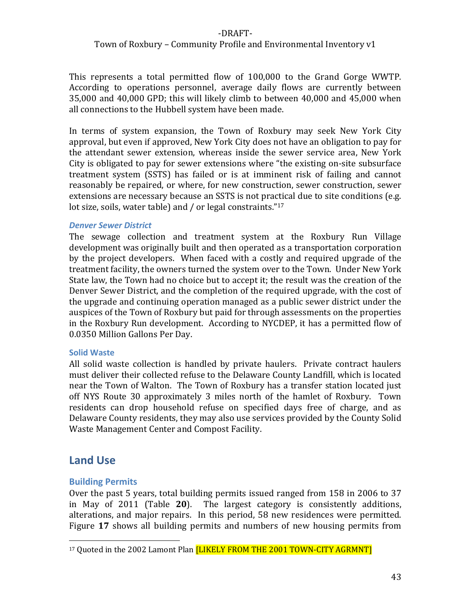#### Town of Roxbury – Community Profile and Environmental Inventory v1

This represents a total permitted flow of 100,000 to the Grand Gorge WWTP. According to operations personnel, average daily flows are currently between 35,000 and 40,000 GPD; this will likely climb to between 40,000 and 45,000 when all connections to the Hubbell system have been made.

In terms of system expansion, the Town of Roxbury may seek New York City approval, but even if approved, New York City does not have an obligation to pay for the attendant sewer extension, whereas inside the sewer service area, New York City is obligated to pay for sewer extensions where "the existing on‐site subsurface treatment system (SSTS) has failed or is at imminent risk of failing and cannot reasonably be repaired, or where, for new construction, sewer construction, sewer extensions are necessary because an SSTS is not practical due to site conditions (e.g. lot size, soils, water table) and / or legal constraints."<sup>17</sup>

#### *Denver Sewer District*

The sewage collection and treatment system at the Roxbury Run Village development was originally built and then operated as a transportation corporation by the project developers. When faced with a costly and required upgrade of the treatment facility, the owners turned the system over to the Town. Under New York State law, the Town had no choice but to accept it; the result was the creation of the Denver Sewer District, and the completion of the required upgrade, with the cost of the upgrade and continuing operation managed as a public sewer district under the auspices of the Town of Roxbury but paid for through assessments on the properties in the Roxbury Run development. According to NYCDEP, it has a permitted flow of 0.0350 Million Gallons Per Day.

#### **Solid Waste**

All solid waste collection is handled by private haulers. Private contract haulers must deliver their collected refuse to the Delaware County Landfill, which is located near the Town of Walton. The Town of Roxbury has a transfer station located just off NYS Route 30 approximately 3 miles north of the hamlet of Roxbury. Town residents can drop household refuse on specified days free of charge, and as Delaware County residents, they may also use services provided by the County Solid Waste Management Center and Compost Facility.

# **Land Use**

#### **Building Permits**

Over the past 5 years, total building permits issued ranged from 158 in 2006 to 37 in May of 2011 (Table **20**). The largest category is consistently additions, alterations, and major repairs. In this period, 58 new residences were permitted. Figure 17 shows all building permits and numbers of new housing permits from

<sup>&</sup>lt;sup>17</sup> Quoted in the 2002 Lamont Plan [LIKELY FROM THE 2001 TOWN-CITY AGRMNT]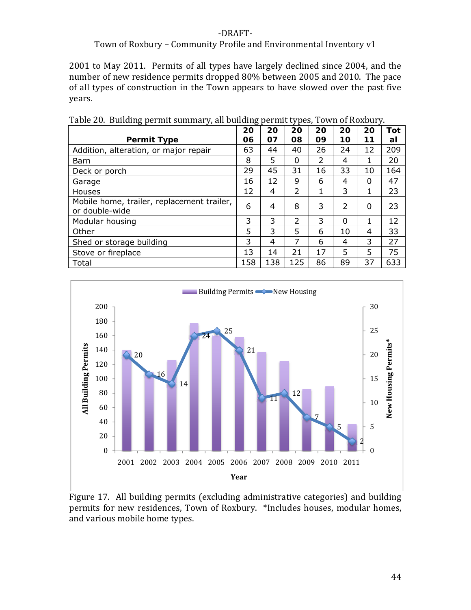#### Town of Roxbury – Community Profile and Environmental Inventory v1

2001 to May 2011. Permits of all types have largely declined since 2004, and the number of new residence permits dropped 80% between 2005 and 2010. The pace of all types of construction in the Town appears to have slowed over the past five years.

|                                                              | 20  | 20  | 20             | 20 | 20                       | 20 | Tot |
|--------------------------------------------------------------|-----|-----|----------------|----|--------------------------|----|-----|
| <b>Permit Type</b>                                           | 06  | 07  | 08             | 09 | 10                       | 11 | al  |
| Addition, alteration, or major repair                        | 63  | 44  | 40             | 26 | 24                       | 12 | 209 |
| Barn                                                         | 8   | 5   | $\Omega$       | 2  | 4                        |    | 20  |
| Deck or porch                                                | 29  | 45  | 31             | 16 | 33                       | 10 | 164 |
| Garage                                                       | 16  | 12  | 9              | 6  | 4                        | 0  | 47  |
| Houses                                                       | 12  | 4   | 2              | 1  | 3                        | 1  | 23  |
| Mobile home, trailer, replacement trailer,<br>or double-wide | 6   | 4   | 8              | 3  | $\overline{\phantom{a}}$ | 0  | 23  |
| Modular housing                                              | 3   | 3   | $\overline{2}$ | 3  | 0                        | 1  | 12  |
| Other                                                        | 5   | 3   | 5              | 6  | 10                       | 4  | 33  |
| Shed or storage building                                     | 3   | 4   | 7              | 6  | 4                        | 3  | 27  |
| Stove or fireplace                                           | 13  | 14  | 21             | 17 | 5                        | 5  | 75  |
| Total                                                        | 158 | 138 | 125            | 86 | 89                       | 37 | 633 |

Table 20. Building permit summary, all building permit types, Town of Roxbury.



Figure 17. All building permits (excluding administrative categories) and building permits for new residences, Town of Roxbury. \*Includes houses, modular homes, and various mobile home types.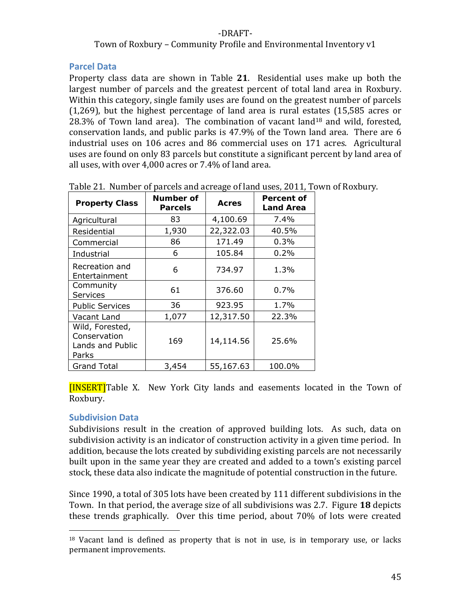#### Town of Roxbury – Community Profile and Environmental Inventory v1

#### **Parcel Data**

Property class data are shown in Table 21. Residential uses make up both the largest number of parcels and the greatest percent of total land area in Roxbury. Within this category, single family uses are found on the greatest number of parcels (1,269), but the highest percentage of land area is rural estates (15,585 acres or 28.3% of Town land area). The combination of vacant land<sup>18</sup> and wild, forested, conservation lands, and public parks is 47.9% of the Town land area. There are 6 industrial uses on 106 acres and 86 commercial uses on 171 acres. Agricultural uses are found on only 83 parcels but constitute a significant percent by land area of all uses, with over 4,000 acres or 7.4% of land area.

| <b>Property Class</b>                                        | Number of<br><b>Parcels</b> | <b>Acres</b> | Percent of<br><b>Land Area</b> |
|--------------------------------------------------------------|-----------------------------|--------------|--------------------------------|
| Agricultural                                                 | 83                          | 4,100.69     | $7.4\%$                        |
| Residential                                                  | 1,930                       | 22,322.03    | 40.5%                          |
| Commercial                                                   | 86                          | 171.49       | 0.3%                           |
| Industrial                                                   | 6                           | 105.84       | 0.2%                           |
| Recreation and<br>Entertainment                              | 6                           | 734.97       | 1.3%                           |
| Community<br>Services                                        | 61                          | 376.60       | 0.7%                           |
| <b>Public Services</b>                                       | 36                          | 923.95       | 1.7%                           |
| Vacant Land                                                  | 1,077                       | 12,317.50    | 22.3%                          |
| Wild, Forested,<br>Conservation<br>Lands and Public<br>Parks | 169                         | 14,114.56    | 25.6%                          |
| <b>Grand Total</b>                                           | 3,454                       | 55,167.63    | 100.0%                         |

Table 21. Number of parcels and acreage of land uses, 2011, Town of Roxbury.

[INSERT]Table X. New York City lands and easements located in the Town of Roxbury.

#### **Subdivision Data**

Subdivisions result in the creation of approved building lots. As such, data on subdivision activity is an indicator of construction activity in a given time period. In addition, because the lots created by subdividing existing parcels are not necessarily built upon in the same year they are created and added to a town's existing parcel stock, these data also indicate the magnitude of potential construction in the future.

Since 1990, a total of 305 lots have been created by 111 different subdivisions in the Town. In that period, the average size of all subdivisions was 2.7. Figure **18** depicts these trends graphically. Over this time period, about 70% of lots were created

 $18$  Vacant land is defined as property that is not in use, is in temporary use, or lacks permanent improvements.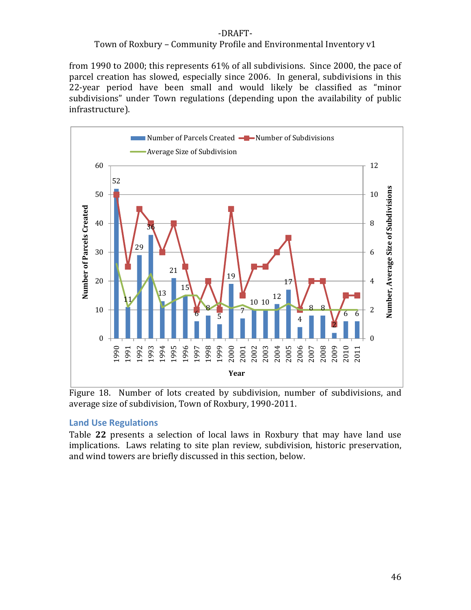#### Town of Roxbury – Community Profile and Environmental Inventory v1

from 1990 to 2000; this represents 61% of all subdivisions. Since 2000, the pace of parcel creation has slowed, especially since 2006. In general, subdivisions in this 22-year period have been small and would likely be classified as "minor subdivisions" under Town regulations (depending upon the availability of public infrastructure).



Figure 18. Number of lots created by subdivision, number of subdivisions, and average size of subdivision, Town of Roxbury, 1990‐2011.

#### **Land Use Regulations**

Table **22** presents a selection of local laws in Roxbury that may have land use implications. Laws relating to site plan review, subdivision, historic preservation, and wind towers are briefly discussed in this section, below.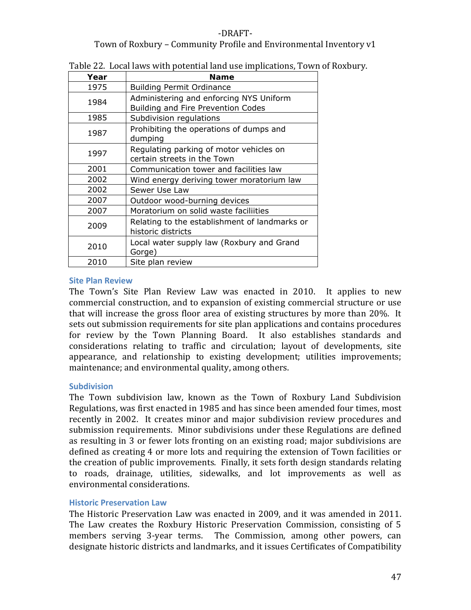#### ‐DRAFT‐ Town of Roxbury – Community Profile and Environmental Inventory v1

| Year | <b>Name</b>                                                                   |
|------|-------------------------------------------------------------------------------|
| 1975 | <b>Building Permit Ordinance</b>                                              |
| 1984 | Administering and enforcing NYS Uniform<br>Building and Fire Prevention Codes |
| 1985 | Subdivision regulations                                                       |
| 1987 | Prohibiting the operations of dumps and<br>dumping                            |
| 1997 | Regulating parking of motor vehicles on<br>certain streets in the Town        |
| 2001 | Communication tower and facilities law                                        |
| 2002 | Wind energy deriving tower moratorium law                                     |
| 2002 | Sewer Use Law                                                                 |
| 2007 | Outdoor wood-burning devices                                                  |
| 2007 | Moratorium on solid waste faciliities                                         |
| 2009 | Relating to the establishment of landmarks or<br>historic districts           |
| 2010 | Local water supply law (Roxbury and Grand<br>Gorge)                           |
| 2010 | Site plan review                                                              |

#### Table 22. Local laws with potential land use implications, Town of Roxbury.

#### **Site Plan Review**

The Town's Site Plan Review Law was enacted in 2010. It applies to new commercial construction, and to expansion of existing commercial structure or use that will increase the gross floor area of existing structures by more than 20%. It sets out submission requirements for site plan applications and contains procedures for review by the Town Planning Board. It also establishes standards and considerations relating to traffic and circulation; layout of developments, site appearance, and relationship to existing development; utilities improvements; maintenance; and environmental quality, among others.

#### **Subdivision**

The Town subdivision law, known as the Town of Roxbury Land Subdivision Regulations, was first enacted in 1985 and has since been amended four times, most recently in 2002. It creates minor and major subdivision review procedures and submission requirements. Minor subdivisions under these Regulations are defined as resulting in 3 or fewer lots fronting on an existing road; major subdivisions are defined as creating 4 or more lots and requiring the extension of Town facilities or the creation of public improvements. Finally, it sets forth design standards relating to roads, drainage, utilities, sidewalks, and lot improvements as well as environmental considerations.

#### **Historic Preservation Law**

The Historic Preservation Law was enacted in 2009, and it was amended in 2011. The Law creates the Roxbury Historic Preservation Commission, consisting of 5 members serving 3-year terms. The Commission, among other powers, can designate historic districts and landmarks, and it issues Certificates of Compatibility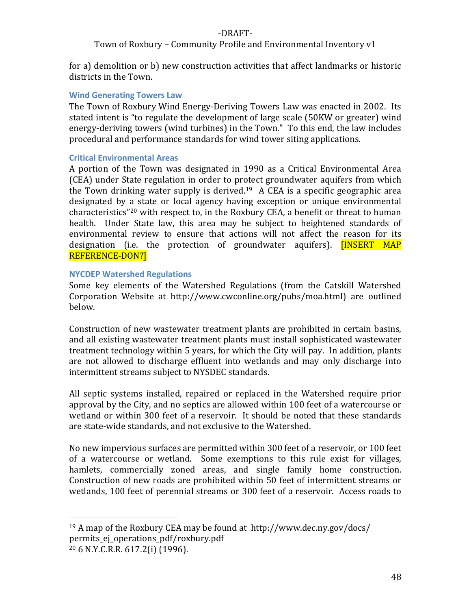#### Town of Roxbury – Community Profile and Environmental Inventory v1

for a) demolition or b) new construction activities that affect landmarks or historic districts in the Town.

#### **Wind Generating Towers Law**

The Town of Roxbury Wind Energy‐Deriving Towers Law was enacted in 2002. Its stated intent is "to regulate the development of large scale (50KW or greater) wind energy-deriving towers (wind turbines) in the Town." To this end, the law includes procedural and performance standards for wind tower siting applications.

#### **Critical Environmental Areas**

A portion of the Town was designated in 1990 as a Critical Environmental Area (CEA) under State regulation in order to protect groundwater aquifers from which the Town drinking water supply is derived.<sup>19</sup> A CEA is a specific geographic area designated by a state or local agency having exception or unique environmental characteristics"20 with respect to, in the Roxbury CEA, a benefit or threat to human health. Under State law, this area may be subject to heightened standards of environmental review to ensure that actions will not affect the reason for its designation (i.e. the protection of groundwater aquifers). **[INSERT MAP** REFERENCE‐DON?]

#### **NYCDEP Watershed Regulations**

Some key elements of the Watershed Regulations (from the Catskill Watershed Corporation Website at http://www.cwconline.org/pubs/moa.html) are outlined below.

Construction of new wastewater treatment plants are prohibited in certain basins, and all existing wastewater treatment plants must install sophisticated wastewater treatment technology within 5 years, for which the City will pay. In addition, plants are not allowed to discharge effluent into wetlands and may only discharge into intermittent streams subject to NYSDEC standards.

All septic systems installed, repaired or replaced in the Watershed require prior approval by the City, and no septics are allowed within 100 feet of a watercourse or wetland or within 300 feet of a reservoir. It should be noted that these standards are state‐wide standards, and not exclusive to the Watershed.

No new impervious surfaces are permitted within 300 feet of a reservoir, or 100 feet of a watercourse or wetland. Some exemptions to this rule exist for villages, hamlets, commercially zoned areas, and single family home construction. Construction of new roads are prohibited within 50 feet of intermittent streams or wetlands, 100 feet of perennial streams or 300 feet of a reservoir. Access roads to

<sup>19</sup> A map of the Roxbury CEA may be found at http://www.dec.ny.gov/docs/ permits\_ej\_operations\_pdf/roxbury.pdf 20 6 N.Y.C.R.R. 617.2(i) (1996).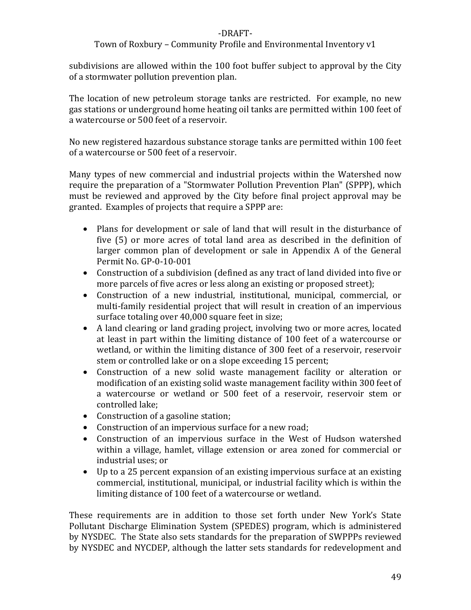#### Town of Roxbury – Community Profile and Environmental Inventory v1

subdivisions are allowed within the 100 foot buffer subject to approval by the City of a stormwater pollution prevention plan.

The location of new petroleum storage tanks are restricted. For example, no new gas stations or underground home heating oil tanks are permitted within 100 feet of a watercourse or 500 feet of a reservoir.

No new registered hazardous substance storage tanks are permitted within 100 feet of a watercourse or 500 feet of a reservoir.

Many types of new commercial and industrial projects within the Watershed now require the preparation of a "Stormwater Pollution Prevention Plan" (SPPP), which must be reviewed and approved by the City before final project approval may be granted. Examples of projects that require a SPPP are:

- Plans for development or sale of land that will result in the disturbance of five (5) or more acres of total land area as described in the definition of larger common plan of development or sale in Appendix A of the General Permit No. GP‐0‐10‐001
- Construction of a subdivision (defined as any tract of land divided into five or more parcels of five acres or less along an existing or proposed street);
- Construction of a new industrial, institutional, municipal, commercial, or multi-family residential project that will result in creation of an impervious surface totaling over 40,000 square feet in size;
- A land clearing or land grading project, involving two or more acres, located at least in part within the limiting distance of 100 feet of a watercourse or wetland, or within the limiting distance of 300 feet of a reservoir, reservoir stem or controlled lake or on a slope exceeding 15 percent;
- Construction of a new solid waste management facility or alteration or modification of an existing solid waste management facility within 300 feet of a watercourse or wetland or 500 feet of a reservoir, reservoir stem or controlled lake;
- Construction of a gasoline station;
- Construction of an impervious surface for a new road;
- Construction of an impervious surface in the West of Hudson watershed within a village, hamlet, village extension or area zoned for commercial or industrial uses; or
- Up to a 25 percent expansion of an existing impervious surface at an existing commercial, institutional, municipal, or industrial facility which is within the limiting distance of 100 feet of a watercourse or wetland.

These requirements are in addition to those set forth under New York's State Pollutant Discharge Elimination System (SPEDES) program, which is administered by NYSDEC. The State also sets standards for the preparation of SWPPPs reviewed by NYSDEC and NYCDEP, although the latter sets standards for redevelopment and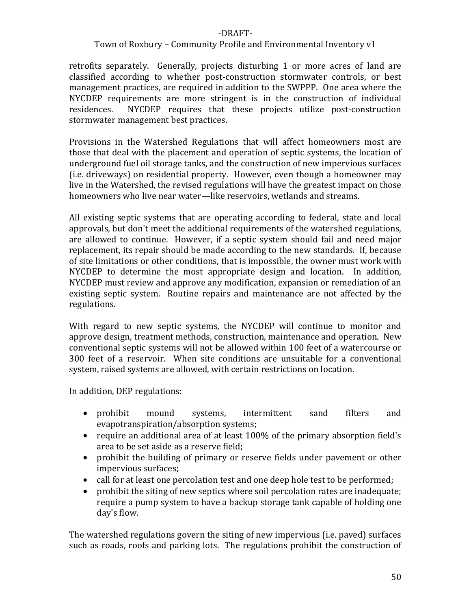#### Town of Roxbury – Community Profile and Environmental Inventory v1

retrofits separately. Generally, projects disturbing 1 or more acres of land are classified according to whether post‐construction stormwater controls, or best management practices, are required in addition to the SWPPP. One area where the NYCDEP requirements are more stringent is in the construction of individual residences. NYCDEP requires that these projects utilize post-construction stormwater management best practices.

Provisions in the Watershed Regulations that will affect homeowners most are those that deal with the placement and operation of septic systems, the location of underground fuel oil storage tanks, and the construction of new impervious surfaces (i.e. driveways) on residential property. However, even though a homeowner may live in the Watershed, the revised regulations will have the greatest impact on those homeowners who live near water—like reservoirs, wetlands and streams.

All existing septic systems that are operating according to federal, state and local approvals, but don't meet the additional requirements of the watershed regulations, are allowed to continue. However, if a septic system should fail and need major replacement, its repair should be made according to the new standards. If, because of site limitations or other conditions, that is impossible, the owner must work with NYCDEP to determine the most appropriate design and location. In addition, NYCDEP must review and approve any modification, expansion or remediation of an existing septic system. Routine repairs and maintenance are not affected by the regulations.

With regard to new septic systems, the NYCDEP will continue to monitor and approve design, treatment methods, construction, maintenance and operation. New conventional septic systems will not be allowed within 100 feet of a watercourse or 300 feet of a reservoir. When site conditions are unsuitable for a conventional system, raised systems are allowed, with certain restrictions on location.

In addition, DEP regulations:

- prohibit mound systems, intermittent sand filters and evapotranspiration/absorption systems;
- require an additional area of at least 100% of the primary absorption field's area to be set aside as a reserve field;
- prohibit the building of primary or reserve fields under pavement or other impervious surfaces;
- call for at least one percolation test and one deep hole test to be performed;
- prohibit the siting of new septics where soil percolation rates are inadequate; require a pump system to have a backup storage tank capable of holding one day's flow.

The watershed regulations govern the siting of new impervious (i.e. paved) surfaces such as roads, roofs and parking lots. The regulations prohibit the construction of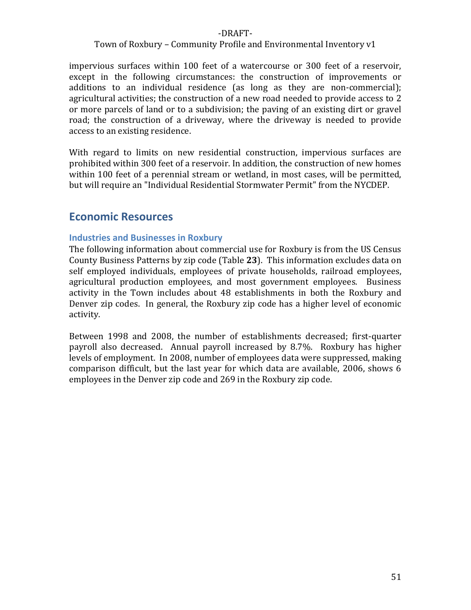#### Town of Roxbury – Community Profile and Environmental Inventory v1

impervious surfaces within 100 feet of a watercourse or 300 feet of a reservoir, except in the following circumstances: the construction of improvements or additions to an individual residence (as long as they are non‐commercial); agricultural activities; the construction of a new road needed to provide access to 2 or more parcels of land or to a subdivision; the paving of an existing dirt or gravel road; the construction of a driveway, where the driveway is needed to provide access to an existing residence.

With regard to limits on new residential construction, impervious surfaces are prohibited within 300 feet of a reservoir. In addition, the construction of new homes within 100 feet of a perennial stream or wetland, in most cases, will be permitted, but will require an "Individual Residential Stormwater Permit" from the NYCDEP.

# **Economic Resources**

#### **Industries and Businesses in Roxbury**

The following information about commercial use for Roxbury is from the US Census County Business Patterns by zip code (Table **23**). This information excludes data on self employed individuals, employees of private households, railroad employees, agricultural production employees, and most government employees. Business activity in the Town includes about 48 establishments in both the Roxbury and Denver zip codes. In general, the Roxbury zip code has a higher level of economic activity.

Between 1998 and 2008, the number of establishments decreased; first-quarter payroll also decreased. Annual payroll increased by 8.7%. Roxbury has higher levels of employment. In 2008, number of employees data were suppressed, making comparison difficult, but the last year for which data are available, 2006, shows 6 employees in the Denver zip code and 269 in the Roxbury zip code.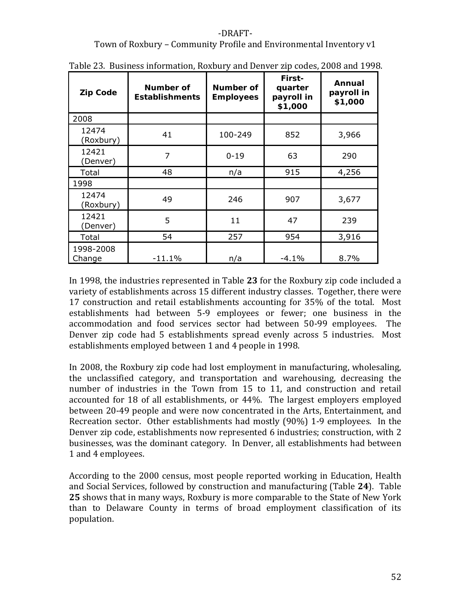#### Town of Roxbury – Community Profile and Environmental Inventory v1

| <b>Zip Code</b>     | Number of<br><b>Establishments</b> | Number of<br><b>Employees</b> | First-<br>quarter<br>payroll in<br>\$1,000 | Annual<br>payroll in<br>\$1,000 |
|---------------------|------------------------------------|-------------------------------|--------------------------------------------|---------------------------------|
| <i>2008</i>         |                                    |                               |                                            |                                 |
| 12474<br>(Roxbury)  | 100-249<br>41                      |                               | 852                                        | 3,966                           |
| 12421<br>(Denver)   | 7                                  | $0 - 19$                      | 63                                         | 290                             |
| Total               | 48                                 | n/a                           | 915                                        | 4,256                           |
| 1998                |                                    |                               |                                            |                                 |
| 12474<br>(Roxbury)  | 49                                 | 246                           | 907                                        | 3,677                           |
| 12421<br>(Denver)   | 5                                  | 11                            | 47                                         | 239                             |
| Total               | 54                                 | 257                           | 954                                        | 3,916                           |
| 1998-2008<br>Change | $-11.1%$                           | n/a                           | $-4.1%$                                    | 8.7%                            |

Table 23. Business information, Roxbury and Denver zip codes, 2008 and 1998.

In 1998, the industries represented in Table **23** for the Roxbury zip code included a variety of establishments across 15 different industry classes. Together, there were 17 construction and retail establishments accounting for 35% of the total. Most establishments had between 5‐9 employees or fewer; one business in the accommodation and food services sector had between 50‐99 employees. The Denver zip code had 5 establishments spread evenly across 5 industries. Most establishments employed between 1 and 4 people in 1998.

In 2008, the Roxbury zip code had lost employment in manufacturing, wholesaling, the unclassified category, and transportation and warehousing, decreasing the number of industries in the Town from 15 to 11, and construction and retail accounted for 18 of all establishments, or 44%. The largest employers employed between 20‐49 people and were now concentrated in the Arts, Entertainment, and Recreation sector. Other establishments had mostly (90%) 1-9 employees. In the Denver zip code, establishments now represented 6 industries; construction, with 2 businesses, was the dominant category. In Denver, all establishments had between 1 and 4 employees.

According to the 2000 census, most people reported working in Education, Health and Social Services, followed by construction and manufacturing (Table **24**). Table **25** shows that in many ways, Roxbury is more comparable to the State of New York than to Delaware County in terms of broad employment classification of its population.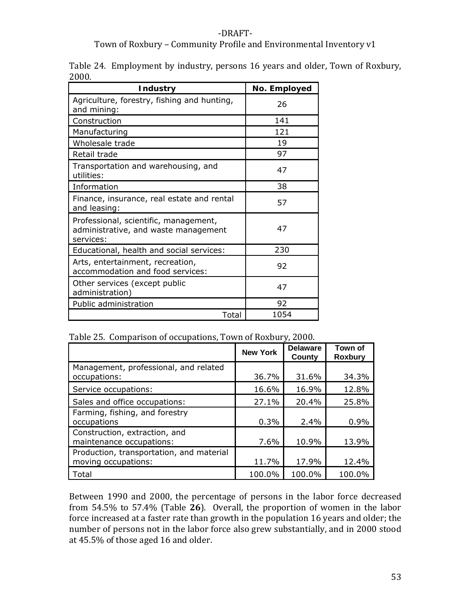## Town of Roxbury – Community Profile and Environmental Inventory v1

|       | Table 24. Employment by industry, persons 16 years and older, Town of Roxbury, |  |  |  |  |
|-------|--------------------------------------------------------------------------------|--|--|--|--|
| 2000. |                                                                                |  |  |  |  |

| <b>Industry</b>                                                                            | No. Employed |
|--------------------------------------------------------------------------------------------|--------------|
| Agriculture, forestry, fishing and hunting,<br>and mining:                                 | 26           |
| Construction                                                                               | 141          |
| Manufacturing                                                                              | 121          |
| Wholesale trade                                                                            | 19           |
| Retail trade                                                                               | 97           |
| Transportation and warehousing, and<br>utilities:                                          | 47           |
| Information                                                                                | 38           |
| Finance, insurance, real estate and rental<br>and leasing:                                 | 57           |
| Professional, scientific, management,<br>administrative, and waste management<br>services: | 47           |
| Educational, health and social services:                                                   | 230          |
| Arts, entertainment, recreation,<br>accommodation and food services:                       | 92           |
| Other services (except public<br>administration)                                           | 47           |
| Public administration                                                                      | 92           |
| Total                                                                                      | 1054         |

### Table 25. Comparison of occupations, Town of Roxbury, 2000.

|                                                                 | <b>New York</b> | <b>Delaware</b><br>County | Town of<br><b>Roxbury</b> |
|-----------------------------------------------------------------|-----------------|---------------------------|---------------------------|
| Management, professional, and related<br>occupations:           | 36.7%           | 31.6%                     | 34.3%                     |
| Service occupations:                                            | 16.6%           | 16.9%                     | 12.8%                     |
| Sales and office occupations:                                   | 27.1%           | 20.4%                     | 25.8%                     |
| Farming, fishing, and forestry<br>occupations                   | 0.3%            | 2.4%                      | 0.9%                      |
| Construction, extraction, and<br>maintenance occupations:       | 7.6%            | 10.9%                     | 13.9%                     |
| Production, transportation, and material<br>moving occupations: | 11.7%           | 17.9%                     | 12.4%                     |
| Total                                                           | 100.0%          | 100.0%                    | 100.0%                    |

Between 1990 and 2000, the percentage of persons in the labor force decreased from 54.5% to 57.4% (Table 26). Overall, the proportion of women in the labor force increased at a faster rate than growth in the population 16 years and older; the number of persons not in the labor force also grew substantially, and in 2000 stood at 45.5% of those aged 16 and older.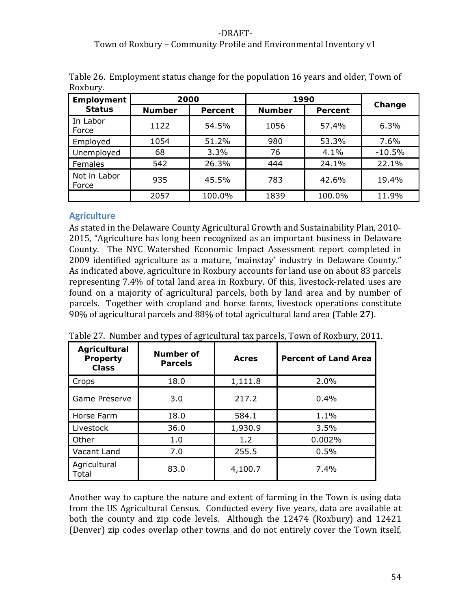## ‐DRAFT‐ Town of Roxbury – Community Profile and Environmental Inventory v1

| Employment            | 2000          |         | 1990          |         |          |
|-----------------------|---------------|---------|---------------|---------|----------|
| <b>Status</b>         | <b>Number</b> | Percent | <b>Number</b> | Percent | Change   |
| In Labor<br>Force     | 1122          | 54.5%   | 1056          | 57.4%   | 6.3%     |
| Employed              | 1054          | 51.2%   | 980           | 53.3%   | 7.6%     |
| Unemployed            | 68            | 3.3%    | 76            | 4.1%    | $-10.5%$ |
| Females               | 542           | 26.3%   | 444           | 24.1%   | 22.1%    |
| Not in Labor<br>Force | 935           | 45.5%   | 783           | 42.6%   | 19.4%    |
|                       | 2057          | 100.0%  | 1839          | 100.0%  | 11.9%    |

Table 26. Employment status change for the population 16 years and older, Town of Roxbury.

## **Agriculture**

As stated in the Delaware County Agricultural Growth and Sustainability Plan, 2010‐ 2015, "Agriculture has long been recognized as an important business in Delaware County. The NYC Watershed Economic Impact Assessment report completed in 2009 identified agriculture as a mature, 'mainstay' industry in Delaware County." As indicated above, agriculture in Roxbury accounts for land use on about 83 parcels representing 7.4% of total land area in Roxbury. Of this, livestock‐related uses are found on a majority of agricultural parcels, both by land area and by number of parcels. Together with cropland and horse farms, livestock operations constitute 90% of agricultural parcels and 88% of total agricultural land area (Table **27**).

| Agricultural<br><b>Property</b><br><b>Class</b> | Number of<br><b>Parcels</b> | Acres   | <b>Percent of Land Area</b> |
|-------------------------------------------------|-----------------------------|---------|-----------------------------|
| Crops                                           | 18.0                        | 1,111.8 | 2.0%                        |
| Game Preserve                                   | 3.0                         | 217.2   | 0.4%                        |
| Horse Farm                                      | 18.0                        | 584.1   | 1.1%                        |
| Livestock                                       | 36.0                        | 1,930.9 | 3.5%                        |
| Other                                           | 1.0                         | 1.2     | 0.002%                      |
| Vacant Land                                     | 7.0                         | 255.5   | 0.5%                        |
| Agricultural<br>Total                           | 83.0                        | 4,100.7 | $7.4\%$                     |

Table 27. Number and types of agricultural tax parcels, Town of Roxbury, 2011.

Another way to capture the nature and extent of farming in the Town is using data from the US Agricultural Census. Conducted every five years, data are available at both the county and zip code levels. Although the 12474 (Roxbury) and 12421 (Denver) zip codes overlap other towns and do not entirely cover the Town itself,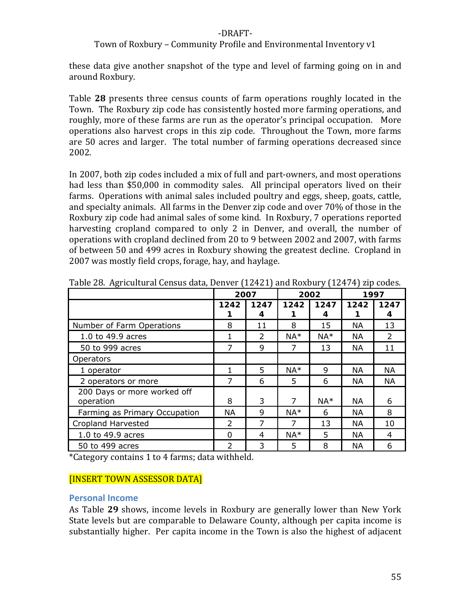#### Town of Roxbury – Community Profile and Environmental Inventory v1

these data give another snapshot of the type and level of farming going on in and around Roxbury.

Table 28 presents three census counts of farm operations roughly located in the Town. The Roxbury zip code has consistently hosted more farming operations, and roughly, more of these farms are run as the operator's principal occupation. More operations also harvest crops in this zip code. Throughout the Town, more farms are 50 acres and larger. The total number of farming operations decreased since 2002.

In 2007, both zip codes included a mix of full and part-owners, and most operations had less than \$50,000 in commodity sales. All principal operators lived on their farms. Operations with animal sales included poultry and eggs, sheep, goats, cattle, and specialty animals. All farms in the Denver zip code and over 70% of those in the Roxbury zip code had animal sales of some kind. In Roxbury, 7 operations reported harvesting cropland compared to only 2 in Denver, and overall, the number of operations with cropland declined from 20 to 9 between 2002 and 2007, with farms of between 50 and 499 acres in Roxbury showing the greatest decline. Cropland in 2007 was mostly field crops, forage, hay, and haylage.

|                                          | 2007           |               | 2002  |           | 1997      |               |
|------------------------------------------|----------------|---------------|-------|-----------|-----------|---------------|
|                                          | 1242           | 1247<br>4     | 1242  | 1247<br>4 | 1242      | 1247<br>4     |
| Number of Farm Operations                | 8              | 11            | 8     | 15        | <b>NA</b> | 13            |
| 1.0 to 49.9 acres                        | 1              | $\mathcal{L}$ | $NA*$ | $NA*$     | <b>NA</b> | $\mathcal{P}$ |
| 50 to 999 acres                          | 7              | 9             | 7     | 13        | <b>NA</b> | 11            |
| <i><b>Operators</b></i>                  |                |               |       |           |           |               |
| 1 operator                               | 1.             | 5             | $NA*$ | 9         | <b>NA</b> | <b>NA</b>     |
| 2 operators or more                      | 7              | 6             | 5     | 6         | <b>NA</b> | NA.           |
| 200 Days or more worked off<br>operation | 8              | 3             | 7     | $NA*$     | <b>NA</b> | 6             |
| Farming as Primary Occupation            | <b>NA</b>      | 9             | $NA*$ | 6         | <b>NA</b> | 8             |
| Cropland Harvested                       | $\overline{2}$ | 7             | 7     | 13        | NА        | 10            |
| 1.0 to 49.9 acres                        | $\Omega$       | 4             | $NA*$ | 5         | <b>NA</b> | 4             |
| 50 to 499 acres                          | $\mathcal{P}$  | 3             | 5     | 8         | <b>NA</b> | 6             |

Table 28. Agricultural Census data, Denver (12421) and Roxbury (12474) zip codes.

\*Category contains 1 to 4 farms; data withheld.

## [INSERT TOWN ASSESSOR DATA]

#### **Personal Income**

As Table **29** shows, income levels in Roxbury are generally lower than New York State levels but are comparable to Delaware County, although per capita income is substantially higher. Per capita income in the Town is also the highest of adjacent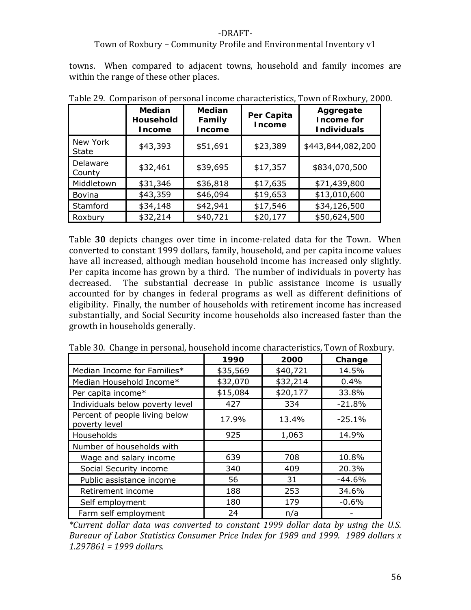#### Town of Roxbury – Community Profile and Environmental Inventory v1

towns. When compared to adjacent towns, household and family incomes are within the range of these other places.

|                          | <b>Median</b><br>Household<br><b>Income</b> | <b>Median</b><br>Family<br><b>Income</b> | Per Capita<br><b>Income</b> | Aggregate<br>Income for<br><b>Individuals</b> |
|--------------------------|---------------------------------------------|------------------------------------------|-----------------------------|-----------------------------------------------|
| New York<br><b>State</b> | \$43,393                                    | \$51,691                                 | \$23,389                    | \$443,844,082,200                             |
| Delaware<br>County       | \$32,461                                    | \$39,695                                 | \$17,357                    | \$834,070,500                                 |
| Middletown               | \$31,346                                    | \$36,818                                 | \$17,635                    | \$71,439,800                                  |
| Bovina                   | \$43,359                                    | \$46,094                                 | \$19,653                    | \$13,010,600                                  |
| Stamford                 | \$34,148                                    | \$42,941                                 | \$17,546                    | \$34,126,500                                  |
| Roxbury                  | \$32,214                                    | \$40,721                                 | \$20,177                    | \$50,624,500                                  |

Table 29. Comparison of personal income characteristics, Town of Roxbury, 2000.

Table **30** depicts changes over time in income-related data for the Town. When converted to constant 1999 dollars, family, household, and per capita income values have all increased, although median household income has increased only slightly. Per capita income has grown by a third. The number of individuals in poverty has decreased. The substantial decrease in public assistance income is usually accounted for by changes in federal programs as well as different definitions of eligibility. Finally, the number of households with retirement income has increased substantially, and Social Security income households also increased faster than the growth in households generally.

|                                                 | 1990     | 2000     | Change   |
|-------------------------------------------------|----------|----------|----------|
| Median Income for Families*                     | \$35,569 | \$40,721 | 14.5%    |
| Median Household Income*                        | \$32,070 | \$32,214 | 0.4%     |
| Per capita income*                              | \$15,084 | \$20,177 | 33.8%    |
| Individuals below poverty level                 | 427      | 334      | $-21.8%$ |
| Percent of people living below<br>poverty level | 17.9%    | 13.4%    | $-25.1%$ |
| Households                                      | 925      | 1,063    | 14.9%    |
| Number of households with                       |          |          |          |
| Wage and salary income                          | 639      | 708      | 10.8%    |
| Social Security income                          | 340      | 409      | 20.3%    |
| Public assistance income                        | 56       | 31       | $-44.6%$ |
| Retirement income                               | 188      | 253      | 34.6%    |
| Self employment                                 | 180      | 179      | $-0.6%$  |
| Farm self employment                            | 24       | n/a      |          |

Table 30. Change in personal, household income characteristics, Town of Roxbury.

*\*Current dollar data was converted to constant 1999 dollar data by using the U.S. Bureaur of Labor Statistics Consumer Price Index for 1989 and 1999. 1989 dollars x 1.297861 = 1999 dollars.*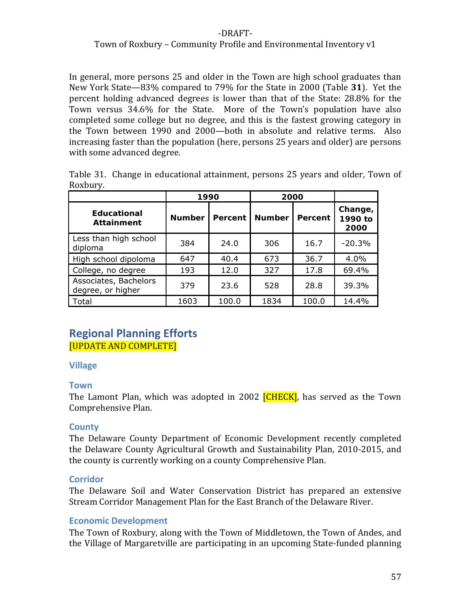### Town of Roxbury – Community Profile and Environmental Inventory v1

In general, more persons 25 and older in the Town are high school graduates than New York State—83% compared to 79% for the State in 2000 (Table **31**). Yet the percent holding advanced degrees is lower than that of the State: 28.8% for the Town versus 34.6% for the State. More of the Town's population have also completed some college but no degree, and this is the fastest growing category in the Town between 1990 and 2000—both in absolute and relative terms. Also increasing faster than the population (here, persons 25 years and older) are persons with some advanced degree.

|          | Table 31. Change in educational attainment, persons 25 years and older, Town of |  |  |  |
|----------|---------------------------------------------------------------------------------|--|--|--|
| Roxbury. |                                                                                 |  |  |  |

|                                            | 1990          |         | 2000          |         |                            |
|--------------------------------------------|---------------|---------|---------------|---------|----------------------------|
| Educational<br><b>Attainment</b>           | <b>Number</b> | Percent | <b>Number</b> | Percent | Change,<br>1990 to<br>2000 |
| Less than high school<br>diploma           | 384           | 24.0    | 306           | 16.7    | $-20.3%$                   |
| High school dipoloma                       | 647           | 40.4    | 673           | 36.7    | 4.0%                       |
| College, no degree                         | 193           | 12.0    | 327           | 17.8    | 69.4%                      |
| Associates, Bachelors<br>degree, or higher | 379           | 23.6    | 528           | 28.8    | 39.3%                      |
| Total                                      | 1603          | 100.0   | 1834          | 100.0   | 14.4%                      |

# **Regional Planning Efforts** [UPDATE AND COMPLETE]

#### **Village**

#### **Town**

The Lamont Plan, which was adopted in 2002 **[CHECK]**, has served as the Town Comprehensive Plan.

#### **County**

The Delaware County Department of Economic Development recently completed the Delaware County Agricultural Growth and Sustainability Plan, 2010‐2015, and the county is currently working on a county Comprehensive Plan.

#### **Corridor**

The Delaware Soil and Water Conservation District has prepared an extensive Stream Corridor Management Plan for the East Branch of the Delaware River.

#### **Economic Development**

The Town of Roxbury, along with the Town of Middletown, the Town of Andes, and the Village of Margaretville are participating in an upcoming State‐funded planning